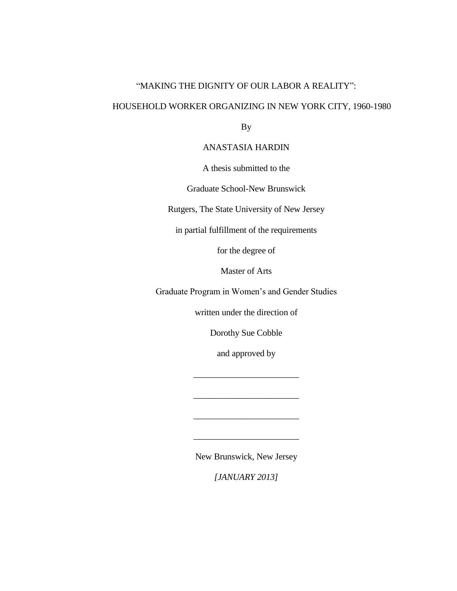## "MAKING THE DIGNITY OF OUR LABOR A REALITY":

## HOUSEHOLD WORKER ORGANIZING IN NEW YORK CITY, 1960-1980

By

## ANASTASIA HARDIN

A thesis submitted to the

Graduate School-New Brunswick

Rutgers, The State University of New Jersey

in partial fulfillment of the requirements

for the degree of

Master of Arts

Graduate Program in Women's and Gender Studies

written under the direction of

Dorothy Sue Cobble

and approved by

\_\_\_\_\_\_\_\_\_\_\_\_\_\_\_\_\_\_\_\_\_\_\_\_

\_\_\_\_\_\_\_\_\_\_\_\_\_\_\_\_\_\_\_\_\_\_\_\_

\_\_\_\_\_\_\_\_\_\_\_\_\_\_\_\_\_\_\_\_\_\_\_\_

\_\_\_\_\_\_\_\_\_\_\_\_\_\_\_\_\_\_\_\_\_\_\_\_

New Brunswick, New Jersey

*[JANUARY 2013]*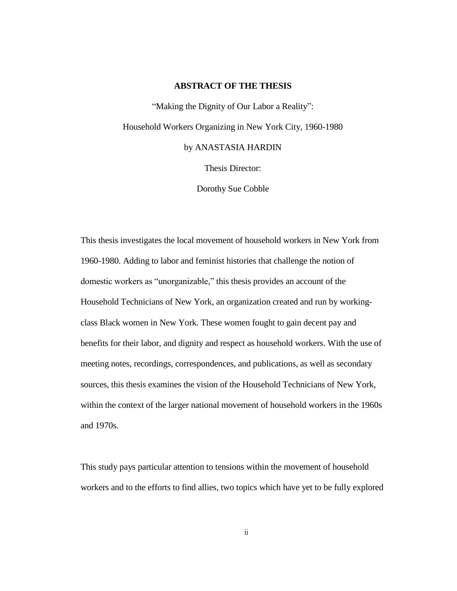#### **ABSTRACT OF THE THESIS**

"Making the Dignity of Our Labor a Reality": Household Workers Organizing in New York City, 1960-1980 by ANASTASIA HARDIN

Thesis Director:

Dorothy Sue Cobble

This thesis investigates the local movement of household workers in New York from 1960-1980. Adding to labor and feminist histories that challenge the notion of domestic workers as "unorganizable," this thesis provides an account of the Household Technicians of New York, an organization created and run by workingclass Black women in New York. These women fought to gain decent pay and benefits for their labor, and dignity and respect as household workers. With the use of meeting notes, recordings, correspondences, and publications, as well as secondary sources, this thesis examines the vision of the Household Technicians of New York, within the context of the larger national movement of household workers in the 1960s and 1970s.

This study pays particular attention to tensions within the movement of household workers and to the efforts to find allies, two topics which have yet to be fully explored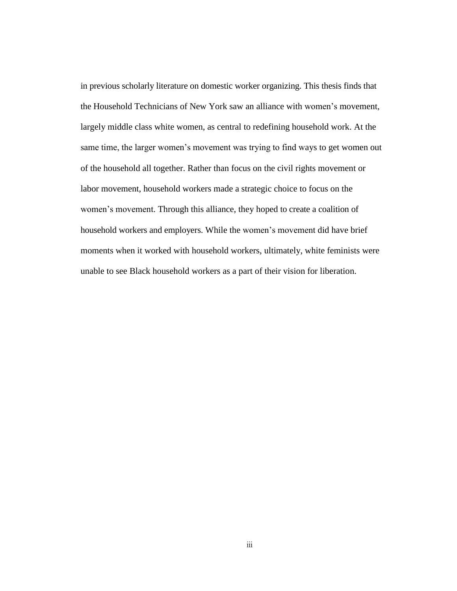in previous scholarly literature on domestic worker organizing. This thesis finds that the Household Technicians of New York saw an alliance with women's movement, largely middle class white women, as central to redefining household work. At the same time, the larger women's movement was trying to find ways to get women out of the household all together. Rather than focus on the civil rights movement or labor movement, household workers made a strategic choice to focus on the women's movement. Through this alliance, they hoped to create a coalition of household workers and employers. While the women's movement did have brief moments when it worked with household workers, ultimately, white feminists were unable to see Black household workers as a part of their vision for liberation.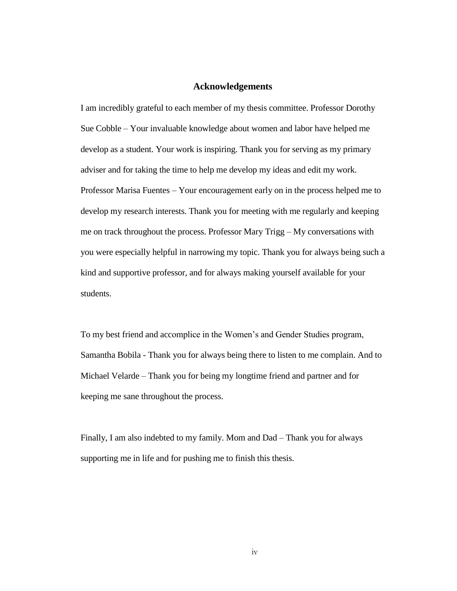#### **Acknowledgements**

I am incredibly grateful to each member of my thesis committee. Professor Dorothy Sue Cobble – Your invaluable knowledge about women and labor have helped me develop as a student. Your work is inspiring. Thank you for serving as my primary adviser and for taking the time to help me develop my ideas and edit my work. Professor Marisa Fuentes – Your encouragement early on in the process helped me to develop my research interests. Thank you for meeting with me regularly and keeping me on track throughout the process. Professor Mary Trigg – My conversations with you were especially helpful in narrowing my topic. Thank you for always being such a kind and supportive professor, and for always making yourself available for your students.

To my best friend and accomplice in the Women's and Gender Studies program, Samantha Bobila - Thank you for always being there to listen to me complain. And to Michael Velarde – Thank you for being my longtime friend and partner and for keeping me sane throughout the process.

Finally, I am also indebted to my family. Mom and Dad – Thank you for always supporting me in life and for pushing me to finish this thesis.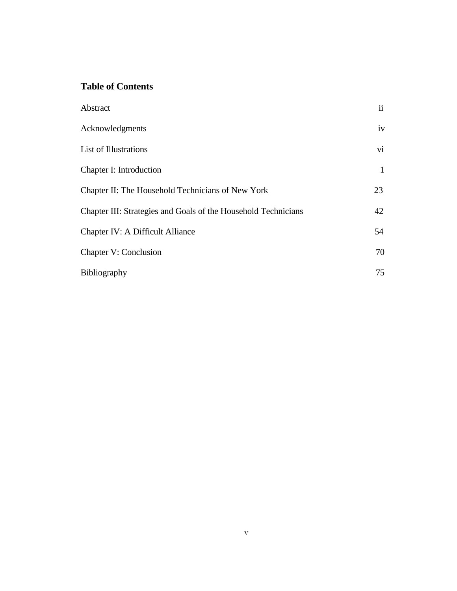## **Table of Contents**

| Abstract                                                       | $\ddot{\mathbf{i}}$ |
|----------------------------------------------------------------|---------------------|
| Acknowledgments                                                | iv                  |
| List of Illustrations                                          | $\overline{vi}$     |
| Chapter I: Introduction                                        | $\mathbf{1}$        |
| Chapter II: The Household Technicians of New York              | 23                  |
| Chapter III: Strategies and Goals of the Household Technicians | 42                  |
| <b>Chapter IV: A Difficult Alliance</b>                        | 54                  |
| <b>Chapter V: Conclusion</b>                                   | 70                  |
| Bibliography                                                   | 75                  |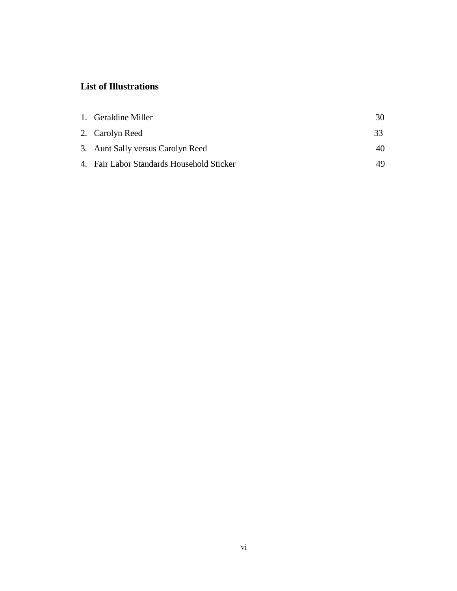# **List of Illustrations**

| 1. Geraldine Miller                       | 30 |
|-------------------------------------------|----|
| 2. Carolyn Reed                           | 33 |
| 3. Aunt Sally versus Carolyn Reed         | 40 |
| 4. Fair Labor Standards Household Sticker | 49 |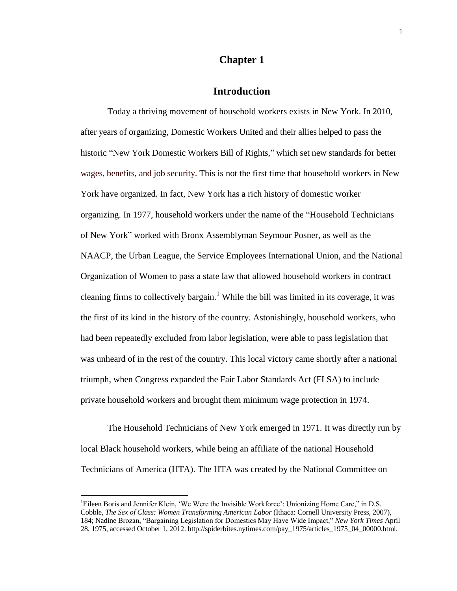## **Chapter 1**

## **Introduction**

Today a thriving movement of household workers exists in New York. In 2010, after years of organizing, Domestic Workers United and their allies helped to pass the historic "New York Domestic Workers Bill of Rights," which set new standards for better wages, benefits, and job security. This is not the first time that household workers in New York have organized. In fact, New York has a rich history of domestic worker organizing. In 1977, household workers under the name of the "Household Technicians of New York" worked with Bronx Assemblyman Seymour Posner, as well as the NAACP, the Urban League, the Service Employees International Union, and the National Organization of Women to pass a state law that allowed household workers in contract cleaning firms to collectively bargain.<sup>1</sup> While the bill was limited in its coverage, it was the first of its kind in the history of the country. Astonishingly, household workers, who had been repeatedly excluded from labor legislation, were able to pass legislation that was unheard of in the rest of the country. This local victory came shortly after a national triumph, when Congress expanded the Fair Labor Standards Act (FLSA) to include private household workers and brought them minimum wage protection in 1974.

The Household Technicians of New York emerged in 1971. It was directly run by local Black household workers, while being an affiliate of the national Household Technicians of America (HTA). The HTA was created by the National Committee on

<sup>&</sup>lt;sup>1</sup>Eileen Boris and Jennifer Klein, 'We Were the Invisible Workforce': Unionizing Home Care," in D.S. Cobble, *The Sex of Class: Women Transforming American Labor* (Ithaca: Cornell University Press, 2007), 184; Nadine Brozan, "Bargaining Legislation for Domestics May Have Wide Impact," *New York Times* April 28, 1975, accessed October 1, 2012. http://spiderbites.nytimes.com/pay\_1975/articles\_1975\_04\_00000.html.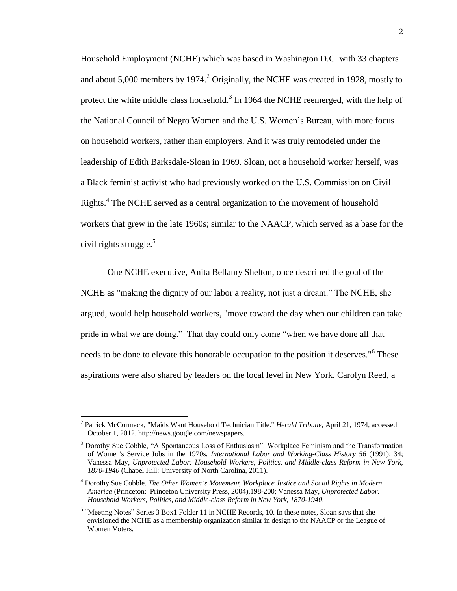Household Employment (NCHE) which was based in Washington D.C. with 33 chapters and about 5,000 members by 1974.<sup>2</sup> Originally, the NCHE was created in 1928, mostly to protect the white middle class household.<sup>3</sup> In 1964 the NCHE reemerged, with the help of the National Council of Negro Women and the U.S. Women's Bureau, with more focus on household workers, rather than employers. And it was truly remodeled under the leadership of Edith Barksdale-Sloan in 1969. Sloan, not a household worker herself, was a Black feminist activist who had previously worked on the U.S. Commission on Civil Rights.<sup>4</sup> The NCHE served as a central organization to the movement of household workers that grew in the late 1960s; similar to the NAACP, which served as a base for the civil rights struggle. $5$ 

One NCHE executive, Anita Bellamy Shelton, once described the goal of the NCHE as "making the dignity of our labor a reality, not just a dream." The NCHE, she argued, would help household workers, "move toward the day when our children can take pride in what we are doing." That day could only come "when we have done all that needs to be done to elevate this honorable occupation to the position it deserves."<sup>6</sup> These aspirations were also shared by leaders on the local level in New York. Carolyn Reed, a

 2 Patrick McCormack, "Maids Want Household Technician Title." *Herald Tribune*, April 21, 1974, accessed October 1, 2012. http://news.google.com/newspapers.

<sup>&</sup>lt;sup>3</sup> Dorothy Sue Cobble, "A Spontaneous Loss of Enthusiasm": Workplace Feminism and the Transformation of Women's Service Jobs in the 1970s. *International Labor and Working-Class History 56* (1991): 34; Vanessa May, *Unprotected Labor: Household Workers, Politics, and Middle-class Reform in New York, 1870-1940* (Chapel Hill: University of North Carolina, 2011).

<sup>4</sup> Dorothy Sue Cobble. *The Other Women's Movement, Workplace Justice and Social Rights in Modern America* (Princeton: Princeton University Press, 2004),198-200; Vanessa May, *Unprotected Labor: Household Workers, Politics, and Middle-class Reform in New York, 1870-1940*.

<sup>&</sup>lt;sup>5</sup> "Meeting Notes" Series 3 Box1 Folder 11 in NCHE Records, 10. In these notes, Sloan says that she envisioned the NCHE as a membership organization similar in design to the NAACP or the League of Women Voters.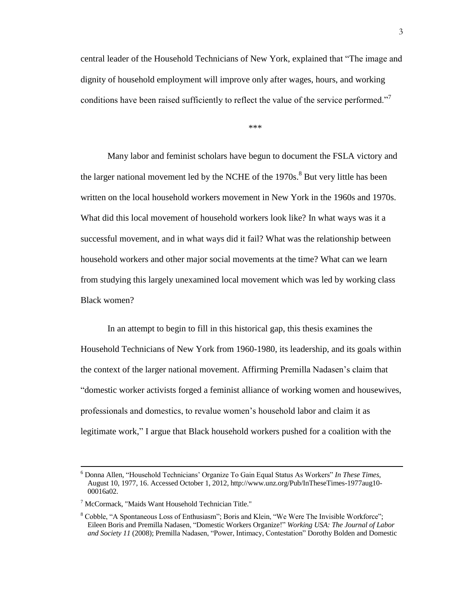central leader of the Household Technicians of New York, explained that "The image and dignity of household employment will improve only after wages, hours, and working conditions have been raised sufficiently to reflect the value of the service performed."<sup>7</sup>

\*\*\*

Many labor and feminist scholars have begun to document the FSLA victory and the larger national movement led by the NCHE of the 1970s.<sup>8</sup> But very little has been written on the local household workers movement in New York in the 1960s and 1970s. What did this local movement of household workers look like? In what ways was it a successful movement, and in what ways did it fail? What was the relationship between household workers and other major social movements at the time? What can we learn from studying this largely unexamined local movement which was led by working class Black women?

In an attempt to begin to fill in this historical gap, this thesis examines the Household Technicians of New York from 1960-1980, its leadership, and its goals within the context of the larger national movement. Affirming Premilla Nadasen's claim that "domestic worker activists forged a feminist alliance of working women and housewives, professionals and domestics, to revalue women's household labor and claim it as legitimate work," I argue that Black household workers pushed for a coalition with the

<sup>6</sup> Donna Allen, "Household Technicians' Organize To Gain Equal Status As Workers" *In These Times,*  August 10, 1977, 16. Accessed October 1, 2012, http://www.unz.org/Pub/InTheseTimes-1977aug10- 00016a02.

<sup>7</sup> McCormack, "Maids Want Household Technician Title."

<sup>&</sup>lt;sup>8</sup> Cobble, "A Spontaneous Loss of Enthusiasm"; Boris and Klein, "We Were The Invisible Workforce"; Eileen Boris and Premilla Nadasen, "Domestic Workers Organize!" *Working USA: The Journal of Labor and Society 11* (2008); Premilla Nadasen, "Power, Intimacy, Contestation" Dorothy Bolden and Domestic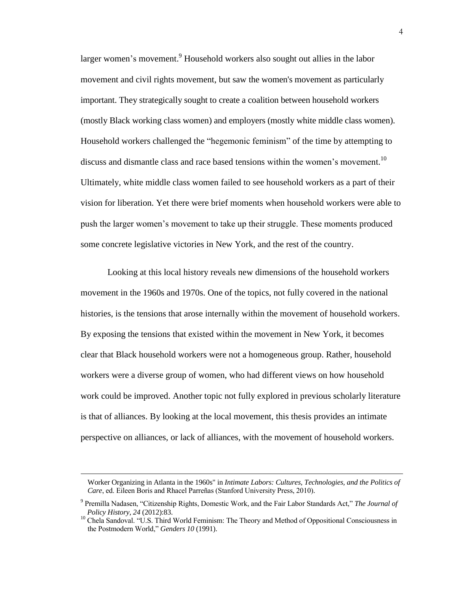larger women's movement. <sup>9</sup> Household workers also sought out allies in the labor movement and civil rights movement, but saw the women's movement as particularly important. They strategically sought to create a coalition between household workers (mostly Black working class women) and employers (mostly white middle class women). Household workers challenged the "hegemonic feminism" of the time by attempting to discuss and dismantle class and race based tensions within the women's movement.<sup>10</sup> Ultimately, white middle class women failed to see household workers as a part of their vision for liberation. Yet there were brief moments when household workers were able to push the larger women's movement to take up their struggle. These moments produced some concrete legislative victories in New York, and the rest of the country.

Looking at this local history reveals new dimensions of the household workers movement in the 1960s and 1970s. One of the topics, not fully covered in the national histories, is the tensions that arose internally within the movement of household workers. By exposing the tensions that existed within the movement in New York, it becomes clear that Black household workers were not a homogeneous group. Rather, household workers were a diverse group of women, who had different views on how household work could be improved. Another topic not fully explored in previous scholarly literature is that of alliances. By looking at the local movement, this thesis provides an intimate perspective on alliances, or lack of alliances, with the movement of household workers.

Worker Organizing in Atlanta in the 1960s" in *Intimate Labors: Cultures, Technologies, and the Politics of Care*, ed. Eileen Boris and Rhacel Parreñas (Stanford University Press, 2010).

<sup>&</sup>lt;sup>9</sup> Premilla Nadasen, "Citizenship Rights, Domestic Work, and the Fair Labor Standards Act," The Journal of *Policy History, 24* (2012):83.

<sup>&</sup>lt;sup>10</sup> Chela Sandoval. "U.S. Third World Feminism: The Theory and Method of Oppositional Consciousness in the Postmodern World," *Genders 10* (1991).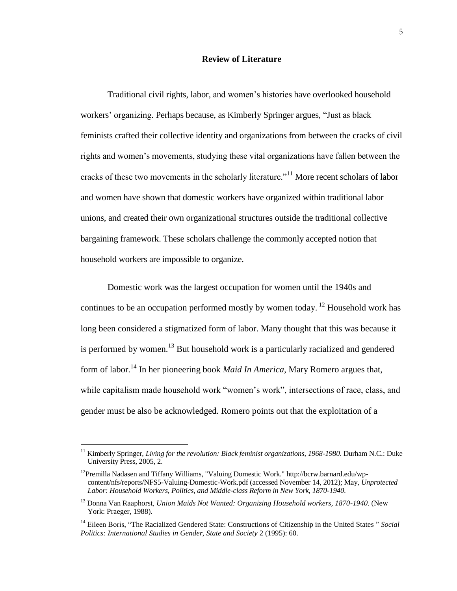#### **Review of Literature**

Traditional civil rights, labor, and women's histories have overlooked household workers' organizing. Perhaps because, as Kimberly Springer argues, "Just as black feminists crafted their collective identity and organizations from between the cracks of civil rights and women's movements, studying these vital organizations have fallen between the cracks of these two movements in the scholarly literature.<sup>"11</sup> More recent scholars of labor and women have shown that domestic workers have organized within traditional labor unions, and created their own organizational structures outside the traditional collective bargaining framework. These scholars challenge the commonly accepted notion that household workers are impossible to organize.

Domestic work was the largest occupation for women until the 1940s and continues to be an occupation performed mostly by women today. <sup>12</sup> Household work has long been considered a stigmatized form of labor. Many thought that this was because it is performed by women.<sup>13</sup> But household work is a particularly racialized and gendered form of labor.<sup>14</sup> In her pioneering book *Maid In America,* Mary Romero argues that, while capitalism made household work "women's work", intersections of race, class, and gender must be also be acknowledged. Romero points out that the exploitation of a

<sup>&</sup>lt;sup>11</sup> Kimberly Springer, *Living for the revolution: Black feminist organizations, 1968-1980*. Durham N.C.: Duke University Press, 2005, 2.

<sup>&</sup>lt;sup>12</sup>Premilla Nadasen and Tiffany Williams, "Valuing Domestic Work." http://bcrw.barnard.edu/wpcontent/nfs/reports/NFS5-Valuing-Domestic-Work.pdf (accessed November 14, 2012); May, *Unprotected Labor: Household Workers, Politics, and Middle-class Reform in New York, 1870-1940.*

<sup>13</sup> Donna Van Raaphorst, *Union Maids Not Wanted: Organizing Household workers, 1870-1940*. (New York: Praeger, 1988).

<sup>14</sup> Eileen Boris, "The Racialized Gendered State: Constructions of Citizenship in the United States " *Social Politics: International Studies in Gender, State and Society* 2 (1995): 60.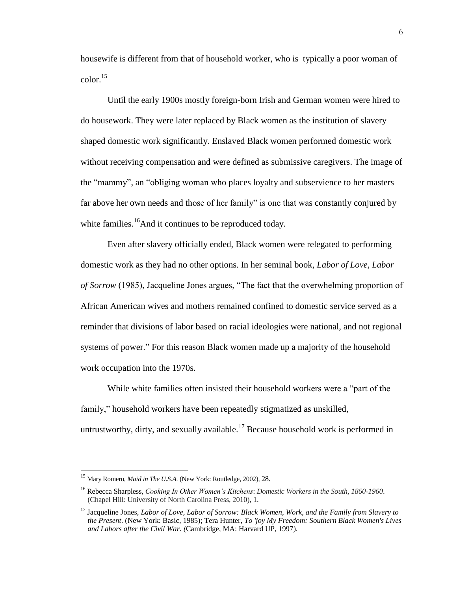housewife is different from that of household worker, who is typically a poor woman of color. 15

Until the early 1900s mostly foreign-born Irish and German women were hired to do housework. They were later replaced by Black women as the institution of slavery shaped domestic work significantly. Enslaved Black women performed domestic work without receiving compensation and were defined as submissive caregivers. The image of the "mammy", an "obliging woman who places loyalty and subservience to her masters far above her own needs and those of her family" is one that was constantly conjured by white families.<sup>16</sup>And it continues to be reproduced today.

Even after slavery officially ended, Black women were relegated to performing domestic work as they had no other options. In her seminal book, *Labor of Love, Labor of Sorrow* (1985), Jacqueline Jones argues, "The fact that the overwhelming proportion of African American wives and mothers remained confined to domestic service served as a reminder that divisions of labor based on racial ideologies were national, and not regional systems of power." For this reason Black women made up a majority of the household work occupation into the 1970s.

While white families often insisted their household workers were a "part of the family," household workers have been repeatedly stigmatized as unskilled, untrustworthy, dirty, and sexually available.<sup>17</sup> Because household work is performed in

<sup>15</sup> Mary Romero, *Maid in The U.S.A.* (New York: Routledge, 2002), 28.

<sup>16</sup> Rebecca Sharpless, *Cooking In Other Women's Kitchens*: *Domestic Workers in the South, 1860-1960*. (Chapel Hill: University of North Carolina Press, 2010), 1.

<sup>17</sup> Jacqueline Jones, *Labor of Love, Labor of Sorrow: Black Women, Work, and the Family from Slavery to the Present*. (New York: Basic, 1985); Tera Hunter, *To 'joy My Freedom: Southern Black Women's Lives and Labors after the Civil War. (*Cambridge, MA: Harvard UP, 1997).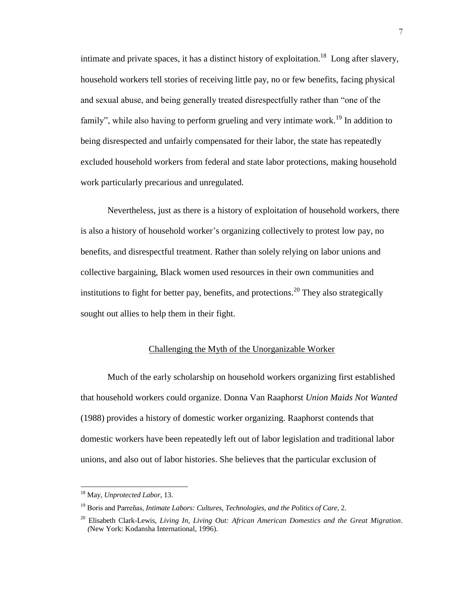intimate and private spaces, it has a distinct history of exploitation.<sup>18</sup> Long after slavery, household workers tell stories of receiving little pay, no or few benefits, facing physical and sexual abuse, and being generally treated disrespectfully rather than "one of the family", while also having to perform grueling and very intimate work.<sup>19</sup> In addition to being disrespected and unfairly compensated for their labor, the state has repeatedly excluded household workers from federal and state labor protections, making household work particularly precarious and unregulated.

Nevertheless, just as there is a history of exploitation of household workers, there is also a history of household worker's organizing collectively to protest low pay, no benefits, and disrespectful treatment. Rather than solely relying on labor unions and collective bargaining, Black women used resources in their own communities and institutions to fight for better pay, benefits, and protections.<sup>20</sup> They also strategically sought out allies to help them in their fight.

#### Challenging the Myth of the Unorganizable Worker

Much of the early scholarship on household workers organizing first established that household workers could organize. Donna Van Raaphorst *Union Maids Not Wanted* (1988) provides a history of domestic worker organizing. Raaphorst contends that domestic workers have been repeatedly left out of labor legislation and traditional labor unions, and also out of labor histories. She believes that the particular exclusion of

<sup>18</sup> May, *Unprotected Labor*, 13.

<sup>&</sup>lt;sup>19</sup> Boris and Parreñas, *Intimate Labors: Cultures, Technologies, and the Politics of Care, 2.* 

<sup>20</sup> Elisabeth Clark-Lewis, *Living In, Living Out: African American Domestics and the Great Migration. (*New York: Kodansha International, 1996).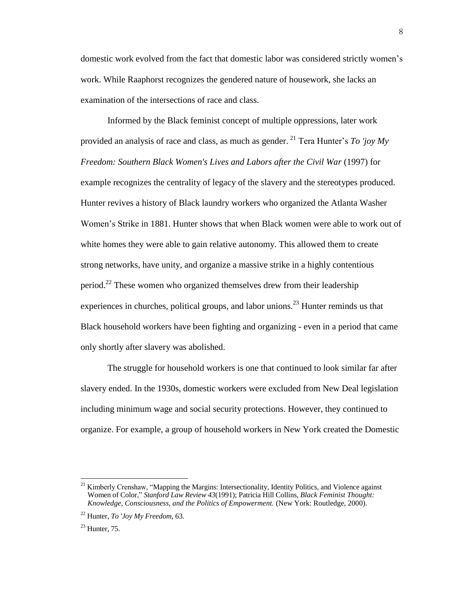domestic work evolved from the fact that domestic labor was considered strictly women's work. While Raaphorst recognizes the gendered nature of housework, she lacks an examination of the intersections of race and class.

Informed by the Black feminist concept of multiple oppressions, later work provided an analysis of race and class, as much as gender. <sup>21</sup> Tera Hunter's *To 'joy My Freedom: Southern Black Women's Lives and Labors after the Civil War* (1997) for example recognizes the centrality of legacy of the slavery and the stereotypes produced. Hunter revives a history of Black laundry workers who organized the Atlanta Washer Women's Strike in 1881. Hunter shows that when Black women were able to work out of white homes they were able to gain relative autonomy. This allowed them to create strong networks, have unity, and organize a massive strike in a highly contentious period.<sup>22</sup> These women who organized themselves drew from their leadership experiences in churches, political groups, and labor unions.<sup>23</sup> Hunter reminds us that Black household workers have been fighting and organizing - even in a period that came only shortly after slavery was abolished.

The struggle for household workers is one that continued to look similar far after slavery ended. In the 1930s, domestic workers were excluded from New Deal legislation including minimum wage and social security protections. However, they continued to organize. For example, a group of household workers in New York created the Domestic

<sup>21</sup> Kimberly Crenshaw, "Mapping the Margins: Intersectionality, Identity Politics, and Violence against Women of Color," *Stanford Law Review 43*(1991); Patricia Hill Collins, *Black Feminist Thought: Knowledge, Consciousness, and the Politics of Empowerment.* (New York: Routledge, 2000).

<sup>22</sup> Hunter, *To 'Joy My Freedom*, 63.

 $23$  Hunter, 75.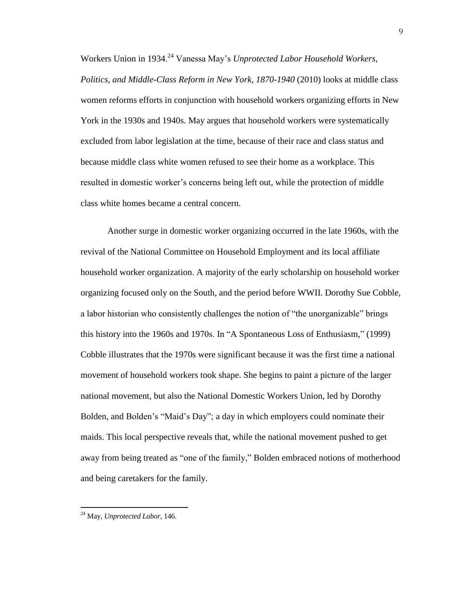Workers Union in 1934. <sup>24</sup> Vanessa May's *Unprotected Labor Household Workers, Politics, and Middle-Class Reform in New York, 1870-1940* (2010) looks at middle class women reforms efforts in conjunction with household workers organizing efforts in New York in the 1930s and 1940s. May argues that household workers were systematically excluded from labor legislation at the time, because of their race and class status and because middle class white women refused to see their home as a workplace. This resulted in domestic worker's concerns being left out, while the protection of middle class white homes became a central concern.

Another surge in domestic worker organizing occurred in the late 1960s, with the revival of the National Committee on Household Employment and its local affiliate household worker organization. A majority of the early scholarship on household worker organizing focused only on the South, and the period before WWII. Dorothy Sue Cobble, a labor historian who consistently challenges the notion of "the unorganizable" brings this history into the 1960s and 1970s. In "A Spontaneous Loss of Enthusiasm," (1999) Cobble illustrates that the 1970s were significant because it was the first time a national movement of household workers took shape. She begins to paint a picture of the larger national movement, but also the National Domestic Workers Union, led by Dorothy Bolden, and Bolden's "Maid's Day"; a day in which employers could nominate their maids. This local perspective reveals that, while the national movement pushed to get away from being treated as "one of the family," Bolden embraced notions of motherhood and being caretakers for the family.

<sup>24</sup> May, *Unprotected Labor*, 146.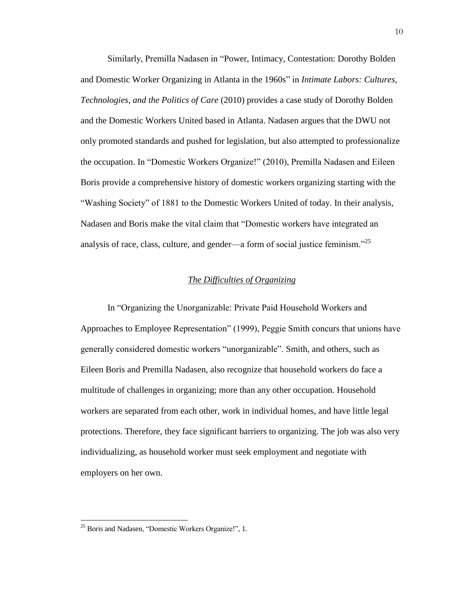Similarly, Premilla Nadasen in "Power, Intimacy, Contestation: Dorothy Bolden and Domestic Worker Organizing in Atlanta in the 1960s" in *Intimate Labors: Cultures, Technologies, and the Politics of Care* (2010) provides a case study of Dorothy Bolden and the Domestic Workers United based in Atlanta. Nadasen argues that the DWU not only promoted standards and pushed for legislation, but also attempted to professionalize the occupation. In "Domestic Workers Organize!" (2010), Premilla Nadasen and Eileen Boris provide a comprehensive history of domestic workers organizing starting with the "Washing Society" of 1881 to the Domestic Workers United of today. In their analysis, Nadasen and Boris make the vital claim that "Domestic workers have integrated an analysis of race, class, culture, and gender—a form of social justice feminism."<sup>25</sup>

#### *The Difficulties of Organizing*

In "Organizing the Unorganizable: Private Paid Household Workers and Approaches to Employee Representation" (1999), Peggie Smith concurs that unions have generally considered domestic workers "unorganizable". Smith, and others, such as Eileen Boris and Premilla Nadasen, also recognize that household workers do face a multitude of challenges in organizing; more than any other occupation. Household workers are separated from each other, work in individual homes, and have little legal protections. Therefore, they face significant barriers to organizing. The job was also very individualizing, as household worker must seek employment and negotiate with employers on her own.

<sup>25</sup> Boris and Nadasen, "Domestic Workers Organize!", 1.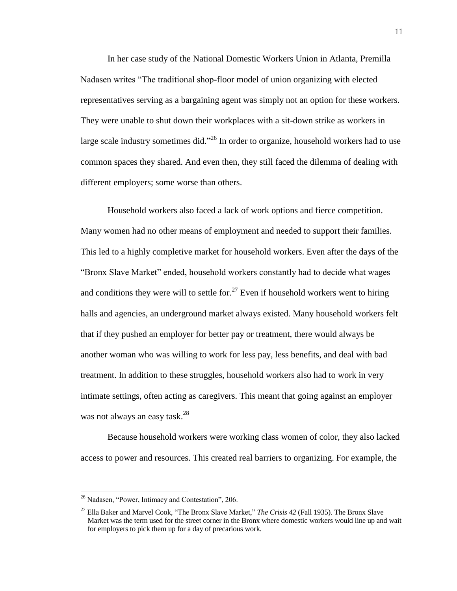In her case study of the National Domestic Workers Union in Atlanta, Premilla Nadasen writes "The traditional shop-floor model of union organizing with elected representatives serving as a bargaining agent was simply not an option for these workers. They were unable to shut down their workplaces with a sit-down strike as workers in large scale industry sometimes did."<sup>26</sup> In order to organize, household workers had to use common spaces they shared. And even then, they still faced the dilemma of dealing with different employers; some worse than others.

Household workers also faced a lack of work options and fierce competition. Many women had no other means of employment and needed to support their families. This led to a highly completive market for household workers. Even after the days of the "Bronx Slave Market" ended, household workers constantly had to decide what wages and conditions they were will to settle for.<sup>27</sup> Even if household workers went to hiring halls and agencies, an underground market always existed. Many household workers felt that if they pushed an employer for better pay or treatment, there would always be another woman who was willing to work for less pay, less benefits, and deal with bad treatment. In addition to these struggles, household workers also had to work in very intimate settings, often acting as caregivers. This meant that going against an employer was not always an easy task. 28

Because household workers were working class women of color, they also lacked access to power and resources. This created real barriers to organizing. For example, the

 $26$  Nadasen, "Power, Intimacy and Contestation", 206.

<sup>27</sup> Ella Baker and Marvel Cook, "The Bronx Slave Market," *The Crisis 42* (Fall 1935). The Bronx Slave Market was the term used for the street corner in the Bronx where domestic workers would line up and wait for employers to pick them up for a day of precarious work.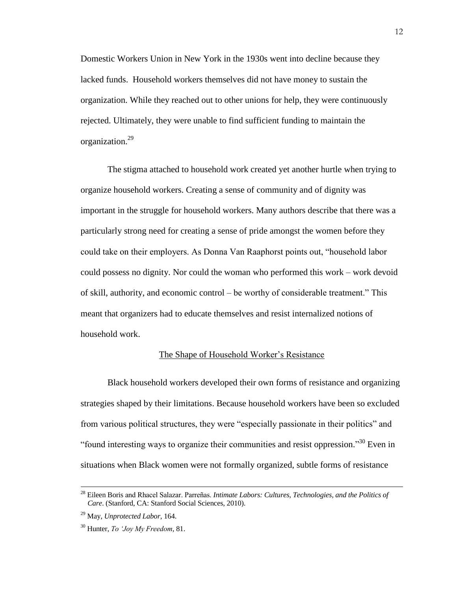Domestic Workers Union in New York in the 1930s went into decline because they lacked funds. Household workers themselves did not have money to sustain the organization. While they reached out to other unions for help, they were continuously rejected. Ultimately, they were unable to find sufficient funding to maintain the organization. 29

The stigma attached to household work created yet another hurtle when trying to organize household workers. Creating a sense of community and of dignity was important in the struggle for household workers. Many authors describe that there was a particularly strong need for creating a sense of pride amongst the women before they could take on their employers. As Donna Van Raaphorst points out, "household labor could possess no dignity. Nor could the woman who performed this work – work devoid of skill, authority, and economic control – be worthy of considerable treatment." This meant that organizers had to educate themselves and resist internalized notions of household work.

#### The Shape of Household Worker's Resistance

Black household workers developed their own forms of resistance and organizing strategies shaped by their limitations. Because household workers have been so excluded from various political structures, they were "especially passionate in their politics" and "found interesting ways to organize their communities and resist oppression." $30$  Even in situations when Black women were not formally organized, subtle forms of resistance

<sup>&</sup>lt;sup>28</sup> Eileen Boris and Rhacel Salazar. Parreñas. *Intimate Labors: Cultures, Technologies, and the Politics of Care*. (Stanford, CA: Stanford Social Sciences, 2010).

<sup>29</sup> May, *Unprotected Labor,* 164.

<sup>30</sup> Hunter, *To 'Joy My Freedom*, 81.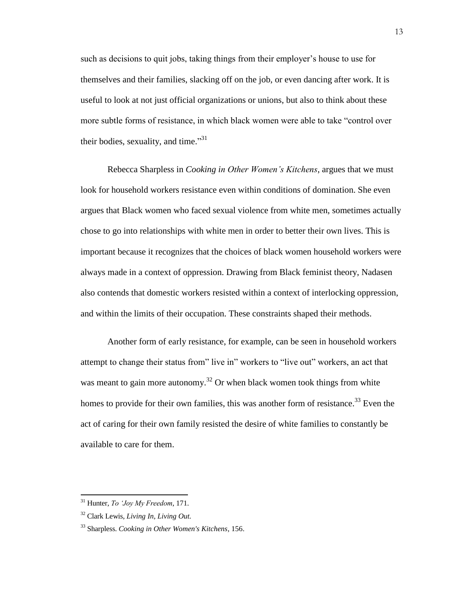such as decisions to quit jobs, taking things from their employer's house to use for themselves and their families, slacking off on the job, or even dancing after work. It is useful to look at not just official organizations or unions, but also to think about these more subtle forms of resistance, in which black women were able to take "control over their bodies, sexuality, and time."<sup>31</sup>

Rebecca Sharpless in *Cooking in Other Women's Kitchens*, argues that we must look for household workers resistance even within conditions of domination. She even argues that Black women who faced sexual violence from white men, sometimes actually chose to go into relationships with white men in order to better their own lives. This is important because it recognizes that the choices of black women household workers were always made in a context of oppression. Drawing from Black feminist theory, Nadasen also contends that domestic workers resisted within a context of interlocking oppression, and within the limits of their occupation. These constraints shaped their methods.

Another form of early resistance, for example, can be seen in household workers attempt to change their status from" live in" workers to "live out" workers, an act that was meant to gain more autonomy.<sup>32</sup> Or when black women took things from white homes to provide for their own families, this was another form of resistance.<sup>33</sup> Even the act of caring for their own family resisted the desire of white families to constantly be available to care for them.

<sup>31</sup> Hunter, *To 'Joy My Freedom*, 171.

<sup>32</sup> Clark Lewis, *Living In, Living Out.*

<sup>33</sup> Sharpless. *Cooking in Other Women's Kitchens,* 156.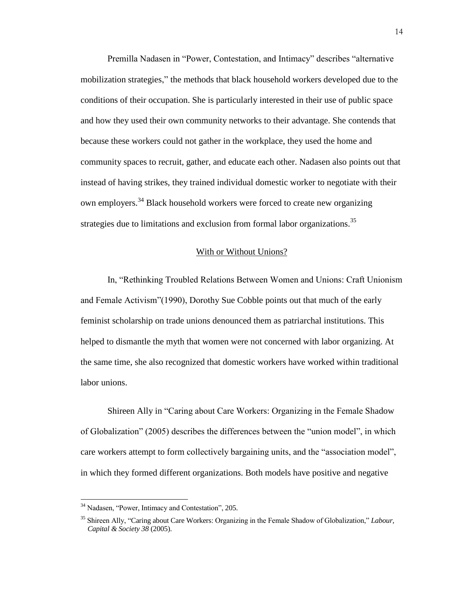Premilla Nadasen in "Power, Contestation, and Intimacy" describes "alternative mobilization strategies," the methods that black household workers developed due to the conditions of their occupation. She is particularly interested in their use of public space and how they used their own community networks to their advantage. She contends that because these workers could not gather in the workplace, they used the home and community spaces to recruit, gather, and educate each other. Nadasen also points out that instead of having strikes, they trained individual domestic worker to negotiate with their own employers.<sup>34</sup> Black household workers were forced to create new organizing strategies due to limitations and exclusion from formal labor organizations.<sup>35</sup>

#### With or Without Unions?

In, "Rethinking Troubled Relations Between Women and Unions: Craft Unionism and Female Activism" (1990), Dorothy Sue Cobble points out that much of the early feminist scholarship on trade unions denounced them as patriarchal institutions. This helped to dismantle the myth that women were not concerned with labor organizing. At the same time, she also recognized that domestic workers have worked within traditional labor unions.

Shireen Ally in "Caring about Care Workers: Organizing in the Female Shadow of Globalization" (2005) describes the differences between the "union model", in which care workers attempt to form collectively bargaining units, and the "association model", in which they formed different organizations. Both models have positive and negative

<sup>&</sup>lt;sup>34</sup> Nadasen, "Power, Intimacy and Contestation", 205.

<sup>35</sup> Shireen Ally, "Caring about Care Workers: Organizing in the Female Shadow of Globalization," *Labour, Capital & Society 38* (2005).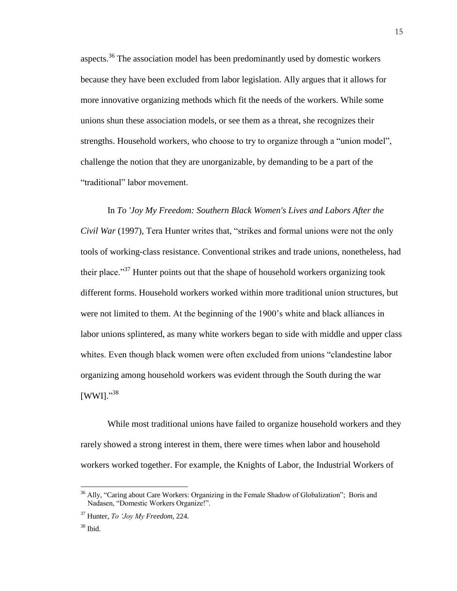aspects.<sup>36</sup> The association model has been predominantly used by domestic workers because they have been excluded from labor legislation. Ally argues that it allows for more innovative organizing methods which fit the needs of the workers. While some unions shun these association models, or see them as a threat, she recognizes their strengths. Household workers, who choose to try to organize through a "union model", challenge the notion that they are unorganizable, by demanding to be a part of the "traditional" labor movement.

In *To 'Joy My Freedom: Southern Black Women's Lives and Labors After the Civil War* (1997), Tera Hunter writes that, "strikes and formal unions were not the only tools of working-class resistance. Conventional strikes and trade unions, nonetheless, had their place."<sup>37</sup> Hunter points out that the shape of household workers organizing took different forms. Household workers worked within more traditional union structures, but were not limited to them. At the beginning of the 1900's white and black alliances in labor unions splintered, as many white workers began to side with middle and upper class whites. Even though black women were often excluded from unions "clandestine labor organizing among household workers was evident through the South during the war [WWI]."38

While most traditional unions have failed to organize household workers and they rarely showed a strong interest in them, there were times when labor and household workers worked together. For example, the Knights of Labor, the Industrial Workers of

<sup>&</sup>lt;sup>36</sup> Ally, "Caring about Care Workers: Organizing in the Female Shadow of Globalization"; Boris and Nadasen, "Domestic Workers Organize!".

<sup>37</sup> Hunter, *To 'Joy My Freedom*, 224.

 $38$  Ibid.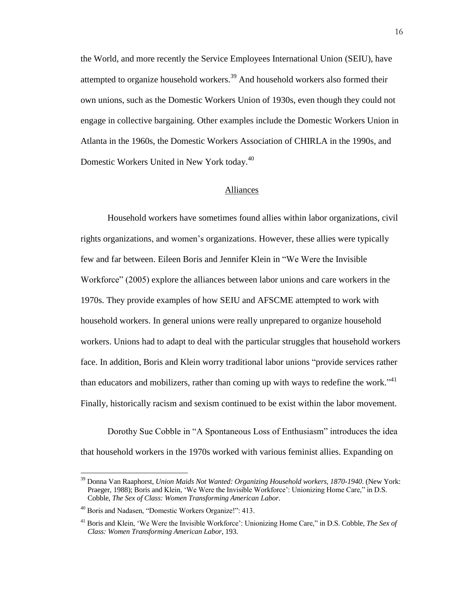the World, and more recently the Service Employees International Union (SEIU), have attempted to organize household workers.<sup>39</sup> And household workers also formed their own unions, such as the Domestic Workers Union of 1930s, even though they could not engage in collective bargaining. Other examples include the Domestic Workers Union in Atlanta in the 1960s, the Domestic Workers Association of CHIRLA in the 1990s, and Domestic Workers United in New York today.<sup>40</sup>

#### Alliances

Household workers have sometimes found allies within labor organizations, civil rights organizations, and women's organizations. However, these allies were typically few and far between. Eileen Boris and Jennifer Klein in "We Were the Invisible Workforce" (2005) explore the alliances between labor unions and care workers in the 1970s. They provide examples of how SEIU and AFSCME attempted to work with household workers. In general unions were really unprepared to organize household workers. Unions had to adapt to deal with the particular struggles that household workers face. In addition, Boris and Klein worry traditional labor unions "provide services rather than educators and mobilizers, rather than coming up with ways to redefine the work." $41$ Finally, historically racism and sexism continued to be exist within the labor movement.

Dorothy Sue Cobble in "A Spontaneous Loss of Enthusiasm" introduces the idea that household workers in the 1970s worked with various feminist allies. Expanding on

<sup>39</sup> Donna Van Raaphorst, *Union Maids Not Wanted: Organizing Household workers, 1870-1940*. (New York: Praeger, 1988); Boris and Klein, 'We Were the Invisible Workforce': Unionizing Home Care," in D.S. Cobble, *The Sex of Class: Women Transforming American Labor.*

<sup>&</sup>lt;sup>40</sup> Boris and Nadasen, "Domestic Workers Organize!": 413.

<sup>41</sup> Boris and Klein, 'We Were the Invisible Workforce': Unionizing Home Care," in D.S. Cobble, *The Sex of Class: Women Transforming American Labor*, 193.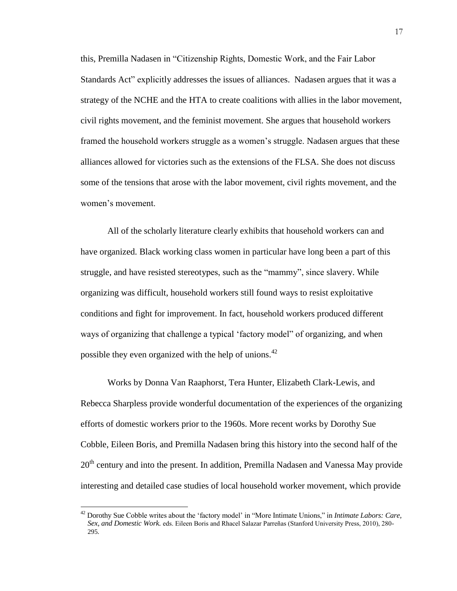this, Premilla Nadasen in "Citizenship Rights, Domestic Work, and the Fair Labor Standards Act" explicitly addresses the issues of alliances. Nadasen argues that it was a strategy of the NCHE and the HTA to create coalitions with allies in the labor movement, civil rights movement, and the feminist movement. She argues that household workers framed the household workers struggle as a women's struggle. Nadasen argues that these alliances allowed for victories such as the extensions of the FLSA. She does not discuss some of the tensions that arose with the labor movement, civil rights movement, and the women's movement.

All of the scholarly literature clearly exhibits that household workers can and have organized. Black working class women in particular have long been a part of this struggle, and have resisted stereotypes, such as the "mammy", since slavery. While organizing was difficult, household workers still found ways to resist exploitative conditions and fight for improvement. In fact, household workers produced different ways of organizing that challenge a typical 'factory model" of organizing, and when possible they even organized with the help of unions.<sup>42</sup>

Works by Donna Van Raaphorst, Tera Hunter, Elizabeth Clark-Lewis, and Rebecca Sharpless provide wonderful documentation of the experiences of the organizing efforts of domestic workers prior to the 1960s. More recent works by Dorothy Sue Cobble, Eileen Boris, and Premilla Nadasen bring this history into the second half of the 20<sup>th</sup> century and into the present. In addition, Premilla Nadasen and Vanessa May provide interesting and detailed case studies of local household worker movement, which provide

<sup>42</sup> Dorothy Sue Cobble writes about the 'factory model' in "More Intimate Unions," in *Intimate Labors: Care, Sex, and Domestic Work.* eds. Eileen Boris and Rhacel Salazar Parreñas (Stanford University Press, 2010), 280-295.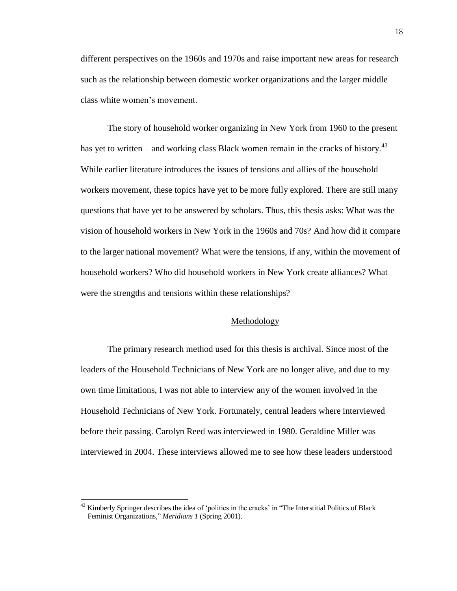different perspectives on the 1960s and 1970s and raise important new areas for research such as the relationship between domestic worker organizations and the larger middle class white women's movement.

The story of household worker organizing in New York from 1960 to the present has yet to written – and working class Black women remain in the cracks of history.<sup>43</sup> While earlier literature introduces the issues of tensions and allies of the household workers movement, these topics have yet to be more fully explored. There are still many questions that have yet to be answered by scholars. Thus, this thesis asks: What was the vision of household workers in New York in the 1960s and 70s? And how did it compare to the larger national movement? What were the tensions, if any, within the movement of household workers? Who did household workers in New York create alliances? What were the strengths and tensions within these relationships?

#### Methodology

The primary research method used for this thesis is archival. Since most of the leaders of the Household Technicians of New York are no longer alive, and due to my own time limitations, I was not able to interview any of the women involved in the Household Technicians of New York. Fortunately, central leaders where interviewed before their passing. Carolyn Reed was interviewed in 1980. Geraldine Miller was interviewed in 2004. These interviews allowed me to see how these leaders understood

<sup>&</sup>lt;sup>43</sup> Kimberly Springer describes the idea of 'politics in the cracks' in "The Interstitial Politics of Black Feminist Organizations," *Meridians 1* (Spring 2001).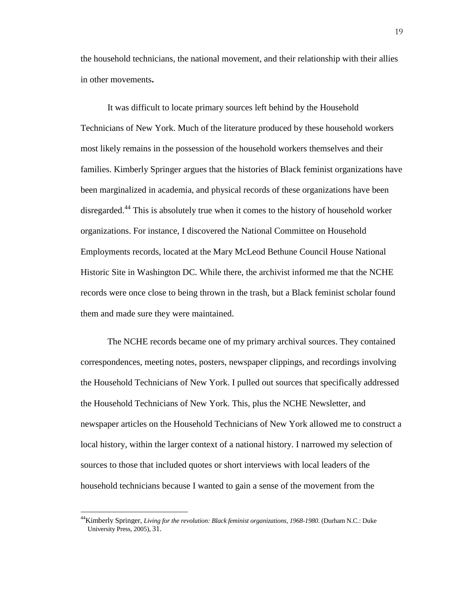the household technicians, the national movement, and their relationship with their allies in other movements**.**

It was difficult to locate primary sources left behind by the Household Technicians of New York. Much of the literature produced by these household workers most likely remains in the possession of the household workers themselves and their families. Kimberly Springer argues that the histories of Black feminist organizations have been marginalized in academia, and physical records of these organizations have been disregarded.<sup>44</sup> This is absolutely true when it comes to the history of household worker organizations. For instance, I discovered the National Committee on Household Employments records, located at the Mary McLeod Bethune Council House National Historic Site in Washington DC. While there, the archivist informed me that the NCHE records were once close to being thrown in the trash, but a Black feminist scholar found them and made sure they were maintained.

The NCHE records became one of my primary archival sources. They contained correspondences, meeting notes, posters, newspaper clippings, and recordings involving the Household Technicians of New York. I pulled out sources that specifically addressed the Household Technicians of New York. This, plus the NCHE Newsletter, and newspaper articles on the Household Technicians of New York allowed me to construct a local history, within the larger context of a national history. I narrowed my selection of sources to those that included quotes or short interviews with local leaders of the household technicians because I wanted to gain a sense of the movement from the

<sup>44</sup>Kimberly Springer, *Living for the revolution: Black feminist organizations, 1968-1980*. (Durham N.C.: Duke University Press, 2005), 31.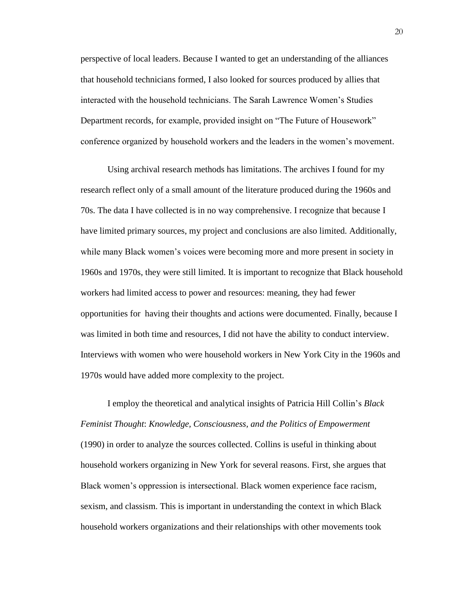perspective of local leaders. Because I wanted to get an understanding of the alliances that household technicians formed, I also looked for sources produced by allies that interacted with the household technicians. The Sarah Lawrence Women's Studies Department records, for example, provided insight on "The Future of Housework" conference organized by household workers and the leaders in the women's movement.

Using archival research methods has limitations. The archives I found for my research reflect only of a small amount of the literature produced during the 1960s and 70s. The data I have collected is in no way comprehensive. I recognize that because I have limited primary sources, my project and conclusions are also limited. Additionally, while many Black women's voices were becoming more and more present in society in 1960s and 1970s, they were still limited. It is important to recognize that Black household workers had limited access to power and resources: meaning, they had fewer opportunities for having their thoughts and actions were documented. Finally, because I was limited in both time and resources, I did not have the ability to conduct interview. Interviews with women who were household workers in New York City in the 1960s and 1970s would have added more complexity to the project.

I employ the theoretical and analytical insights of Patricia Hill Collin's *Black Feminist Thought*: *Knowledge, Consciousness, and the Politics of Empowerment*  (1990) in order to analyze the sources collected. Collins is useful in thinking about household workers organizing in New York for several reasons. First, she argues that Black women's oppression is intersectional. Black women experience face racism, sexism, and classism. This is important in understanding the context in which Black household workers organizations and their relationships with other movements took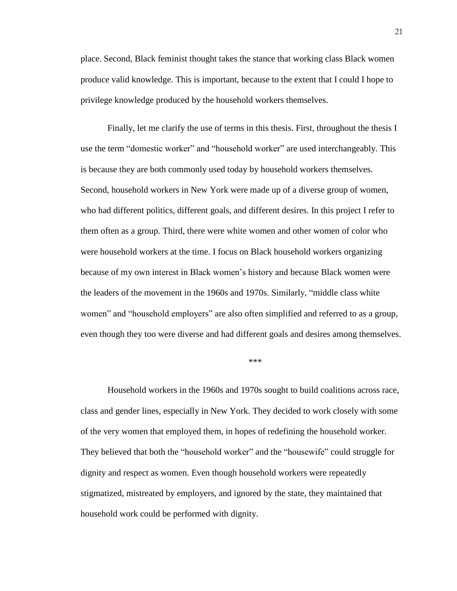place. Second, Black feminist thought takes the stance that working class Black women produce valid knowledge. This is important, because to the extent that I could I hope to privilege knowledge produced by the household workers themselves.

Finally, let me clarify the use of terms in this thesis. First, throughout the thesis I use the term "domestic worker" and "household worker" are used interchangeably. This is because they are both commonly used today by household workers themselves. Second, household workers in New York were made up of a diverse group of women, who had different politics, different goals, and different desires. In this project I refer to them often as a group. Third, there were white women and other women of color who were household workers at the time. I focus on Black household workers organizing because of my own interest in Black women's history and because Black women were the leaders of the movement in the 1960s and 1970s. Similarly, "middle class white women" and "household employers" are also often simplified and referred to as a group, even though they too were diverse and had different goals and desires among themselves.

\*\*\*

Household workers in the 1960s and 1970s sought to build coalitions across race, class and gender lines, especially in New York. They decided to work closely with some of the very women that employed them, in hopes of redefining the household worker. They believed that both the "household worker" and the "housewife" could struggle for dignity and respect as women. Even though household workers were repeatedly stigmatized, mistreated by employers, and ignored by the state, they maintained that household work could be performed with dignity.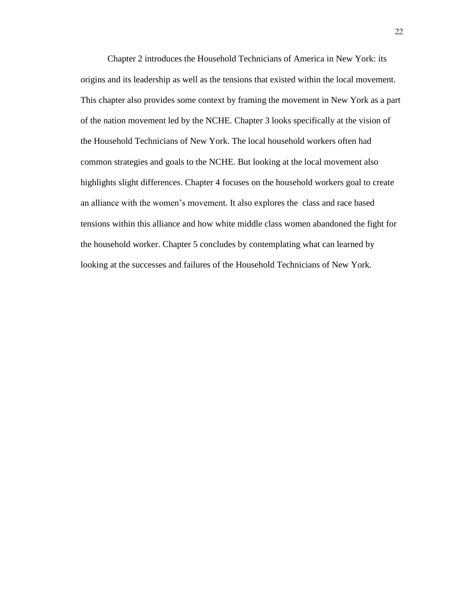Chapter 2 introduces the Household Technicians of America in New York: its origins and its leadership as well as the tensions that existed within the local movement. This chapter also provides some context by framing the movement in New York as a part of the nation movement led by the NCHE. Chapter 3 looks specifically at the vision of the Household Technicians of New York. The local household workers often had common strategies and goals to the NCHE. But looking at the local movement also highlights slight differences. Chapter 4 focuses on the household workers goal to create an alliance with the women's movement. It also explores the class and race based tensions within this alliance and how white middle class women abandoned the fight for the household worker. Chapter 5 concludes by contemplating what can learned by looking at the successes and failures of the Household Technicians of New York.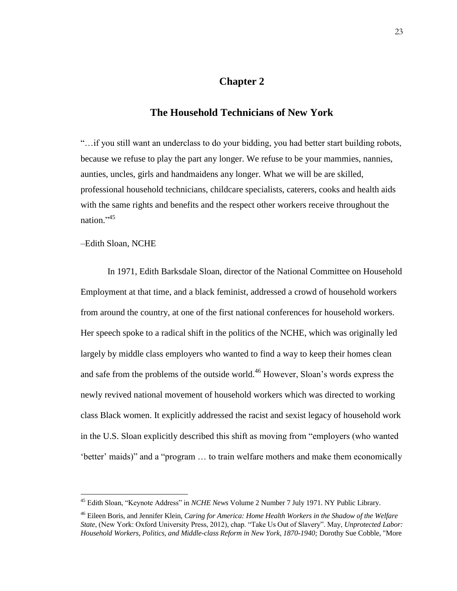## **Chapter 2**

## **The Household Technicians of New York**

"…if you still want an underclass to do your bidding, you had better start building robots, because we refuse to play the part any longer. We refuse to be your mammies, nannies, aunties, uncles, girls and handmaidens any longer. What we will be are skilled, professional household technicians, childcare specialists, caterers, cooks and health aids with the same rights and benefits and the respect other workers receive throughout the nation."<sup>45</sup>

–Edith Sloan, NCHE

 $\overline{a}$ 

In 1971, Edith Barksdale Sloan, director of the National Committee on Household Employment at that time, and a black feminist, addressed a crowd of household workers from around the country, at one of the first national conferences for household workers. Her speech spoke to a radical shift in the politics of the NCHE, which was originally led largely by middle class employers who wanted to find a way to keep their homes clean and safe from the problems of the outside world.<sup>46</sup> However, Sloan's words express the newly revived national movement of household workers which was directed to working class Black women. It explicitly addressed the racist and sexist legacy of household work in the U.S. Sloan explicitly described this shift as moving from "employers (who wanted 'better' maids)" and a "program ... to train welfare mothers and make them economically

<sup>45</sup> Edith Sloan, "Keynote Address" in *NCHE News* Volume 2 Number 7 July 1971. NY Public Library.

<sup>46</sup> Eileen Boris, and Jennifer Klein, *Caring for America: Home Health Workers in the Shadow of the Welfare State*, (New York: Oxford University Press, 2012), chap. "Take Us Out of Slavery". May, *Unprotected Labor: Household Workers, Politics, and Middle-class Reform in New York, 1870-1940;* Dorothy Sue Cobble, "More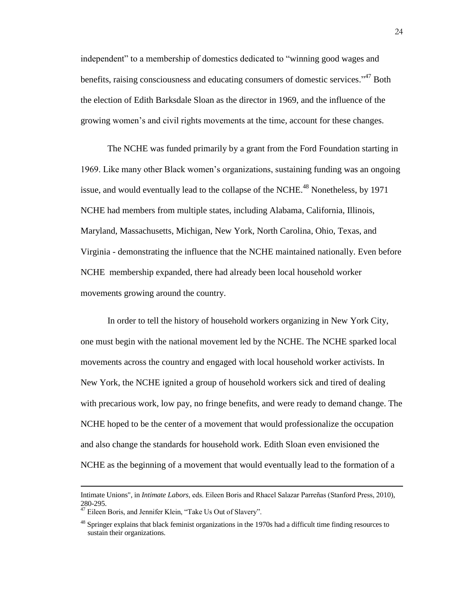independent" to a membership of domestics dedicated to "winning good wages and benefits, raising consciousness and educating consumers of domestic services."<sup>47</sup> Both the election of Edith Barksdale Sloan as the director in 1969, and the influence of the growing women's and civil rights movements at the time, account for these changes.

The NCHE was funded primarily by a grant from the Ford Foundation starting in 969. Like many other Black women's organizations, sustaining funding was an ongoing issue, and would eventually lead to the collapse of the NCHE.<sup>48</sup> Nonetheless, by 1971 NCHE had members from multiple states, including Alabama, California, Illinois, Maryland, Massachusetts, Michigan, New York, North Carolina, Ohio, Texas, and Virginia - demonstrating the influence that the NCHE maintained nationally. Even before NCHE membership expanded, there had already been local household worker movements growing around the country.

In order to tell the history of household workers organizing in New York City, one must begin with the national movement led by the NCHE. The NCHE sparked local movements across the country and engaged with local household worker activists. In New York, the NCHE ignited a group of household workers sick and tired of dealing with precarious work, low pay, no fringe benefits, and were ready to demand change. The NCHE hoped to be the center of a movement that would professionalize the occupation and also change the standards for household work. Edith Sloan even envisioned the NCHE as the beginning of a movement that would eventually lead to the formation of a

Intimate Unions", in *Intimate Labors*, eds. Eileen Boris and Rhacel Salazar Parreñas (Stanford Press, 2010), 280-295.

<sup>&</sup>lt;sup>47</sup> Eileen Boris, and Jennifer Klein, "Take Us Out of Slavery".

<sup>&</sup>lt;sup>48</sup> Springer explains that black feminist organizations in the 1970s had a difficult time finding resources to sustain their organizations.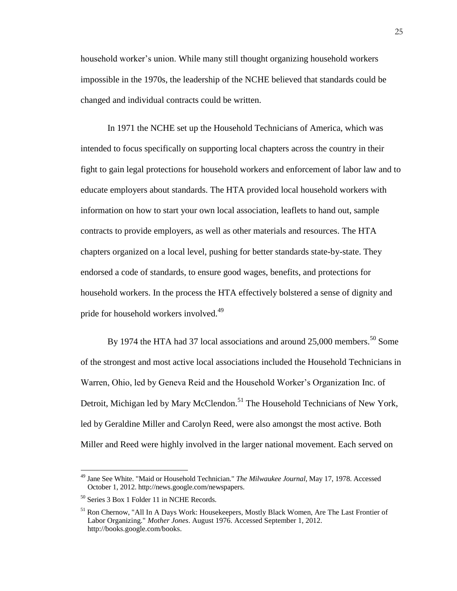household worker's union. While many still thought organizing household workers impossible in the 1970s, the leadership of the NCHE believed that standards could be changed and individual contracts could be written.

In 1971 the NCHE set up the Household Technicians of America, which was intended to focus specifically on supporting local chapters across the country in their fight to gain legal protections for household workers and enforcement of labor law and to educate employers about standards. The HTA provided local household workers with information on how to start your own local association, leaflets to hand out, sample contracts to provide employers, as well as other materials and resources. The HTA chapters organized on a local level, pushing for better standards state-by-state. They endorsed a code of standards, to ensure good wages, benefits, and protections for household workers. In the process the HTA effectively bolstered a sense of dignity and pride for household workers involved.<sup>49</sup>

By 1974 the HTA had 37 local associations and around 25,000 members.<sup>50</sup> Some of the strongest and most active local associations included the Household Technicians in Warren, Ohio, led by Geneva Reid and the Household Worker's Organization Inc. of Detroit, Michigan led by Mary McClendon.<sup>51</sup> The Household Technicians of New York, led by Geraldine Miller and Carolyn Reed, were also amongst the most active. Both Miller and Reed were highly involved in the larger national movement. Each served on

<sup>49</sup> Jane See White. "Maid or Household Technician." *The Milwaukee Journal,* May 17, 1978. Accessed October 1, 2012. http://news.google.com/newspapers.

<sup>50</sup> Series 3 Box 1 Folder 11 in NCHE Records.

<sup>&</sup>lt;sup>51</sup> Ron Chernow, "All In A Days Work: Housekeepers, Mostly Black Women, Are The Last Frontier of Labor Organizing." *Mother Jones*. August 1976. Accessed September 1, 2012. http://books.google.com/books.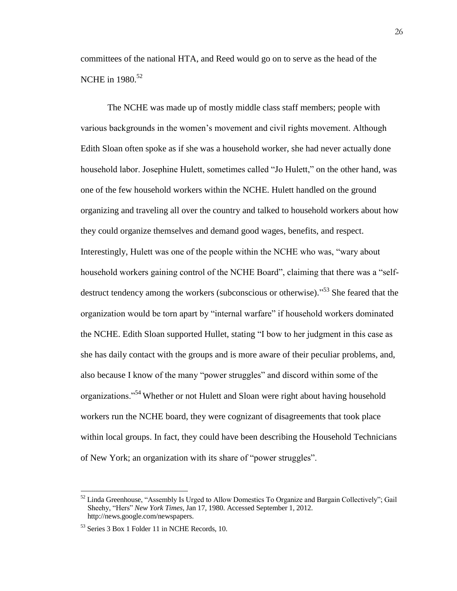committees of the national HTA, and Reed would go on to serve as the head of the NCHE in 1980.<sup>52</sup>

The NCHE was made up of mostly middle class staff members; people with various backgrounds in the women's movement and civil rights movement. Although Edith Sloan often spoke as if she was a household worker, she had never actually done household labor. Josephine Hulett, sometimes called "Jo Hulett," on the other hand, was one of the few household workers within the NCHE. Hulett handled on the ground organizing and traveling all over the country and talked to household workers about how they could organize themselves and demand good wages, benefits, and respect. Interestingly, Hulett was one of the people within the NCHE who was, "wary about household workers gaining control of the NCHE Board", claiming that there was a "selfdestruct tendency among the workers (subconscious or otherwise)."<sup>53</sup> She feared that the organization would be torn apart by "internal warfare" if household workers dominated the NCHE. Edith Sloan supported Hullet, stating "I bow to her judgment in this case as she has daily contact with the groups and is more aware of their peculiar problems, and, also because I know of the many "power struggles" and discord within some of the organizations."<sup>54</sup> Whether or not Hulett and Sloan were right about having household workers run the NCHE board, they were cognizant of disagreements that took place within local groups. In fact, they could have been describing the Household Technicians of New York; an organization with its share of "power struggles".

 $52$  Linda Greenhouse, "Assembly Is Urged to Allow Domestics To Organize and Bargain Collectively"; Gail Sheehy, "Hers" *New York Times*, Jan 17, 1980. Accessed September 1, 2012. http://news.google.com/newspapers.

<sup>53</sup> Series 3 Box 1 Folder 11 in NCHE Records, 10.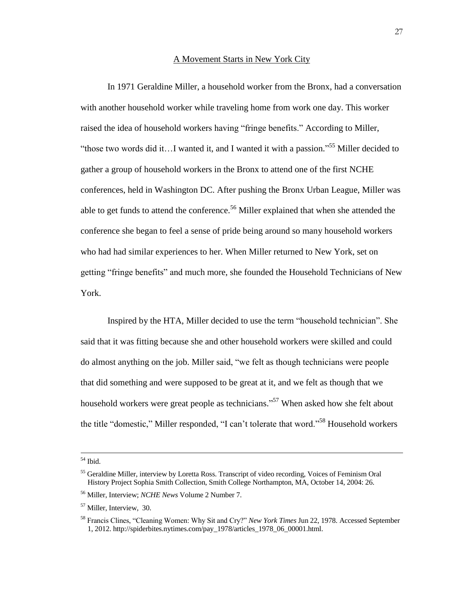#### A Movement Starts in New York City

In 1971 Geraldine Miller, a household worker from the Bronx, had a conversation with another household worker while traveling home from work one day. This worker raised the idea of household workers having "fringe benefits." According to Miller, "those two words did it...I wanted it, and I wanted it with a passion."<sup>55</sup> Miller decided to gather a group of household workers in the Bronx to attend one of the first NCHE conferences, held in Washington DC. After pushing the Bronx Urban League, Miller was able to get funds to attend the conference.<sup>56</sup> Miller explained that when she attended the conference she began to feel a sense of pride being around so many household workers who had had similar experiences to her. When Miller returned to New York, set on getting "fringe benefits" and much more, she founded the Household Technicians of New York.

Inspired by the HTA, Miller decided to use the term "household technician". She said that it was fitting because she and other household workers were skilled and could do almost anything on the job. Miller said, "we felt as though technicians were people that did something and were supposed to be great at it, and we felt as though that we household workers were great people as technicians."<sup>57</sup> When asked how she felt about the title "domestic," Miller responded, "I can't tolerate that word."<sup>58</sup> Household workers

<sup>54</sup> Ibid.

<sup>&</sup>lt;sup>55</sup> Geraldine Miller, interview by Loretta Ross. Transcript of video recording, Voices of Feminism Oral History Project Sophia Smith Collection, Smith College Northampton, MA, October 14, 2004: 26.

<sup>56</sup> Miller, Interview; *NCHE News* Volume 2 Number 7.

<sup>&</sup>lt;sup>57</sup> Miller, Interview, 30.

<sup>58</sup> Francis Clines, "Cleaning Women: Why Sit and Cry?" *New York Times* Jun 22, 1978. Accessed September 1, 2012. http://spiderbites.nytimes.com/pay\_1978/articles\_1978\_06\_00001.html.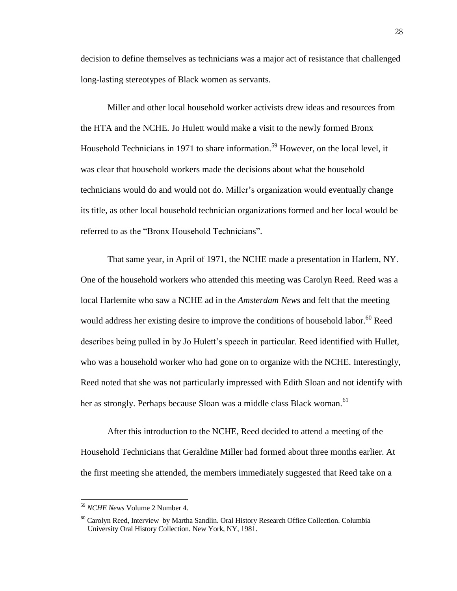decision to define themselves as technicians was a major act of resistance that challenged long-lasting stereotypes of Black women as servants.

Miller and other local household worker activists drew ideas and resources from the HTA and the NCHE. Jo Hulett would make a visit to the newly formed Bronx Household Technicians in 1971 to share information.<sup>59</sup> However, on the local level, it was clear that household workers made the decisions about what the household technicians would do and would not do. Miller's organization would eventually change its title, as other local household technician organizations formed and her local would be referred to as the "Bronx Household Technicians".

That same year, in April of 1971, the NCHE made a presentation in Harlem, NY. One of the household workers who attended this meeting was Carolyn Reed. Reed was a local Harlemite who saw a NCHE ad in the *Amsterdam News* and felt that the meeting would address her existing desire to improve the conditions of household labor.<sup>60</sup> Reed describes being pulled in by Jo Hulett's speech in particular. Reed identified with Hullet, who was a household worker who had gone on to organize with the NCHE. Interestingly, Reed noted that she was not particularly impressed with Edith Sloan and not identify with her as strongly. Perhaps because Sloan was a middle class Black woman.<sup>61</sup>

After this introduction to the NCHE, Reed decided to attend a meeting of the Household Technicians that Geraldine Miller had formed about three months earlier. At the first meeting she attended, the members immediately suggested that Reed take on a

<sup>59</sup> *NCHE News* Volume 2 Number 4.

<sup>&</sup>lt;sup>60</sup> Carolyn Reed, Interview by Martha Sandlin. Oral History Research Office Collection. Columbia University Oral History Collection. New York, NY, 1981.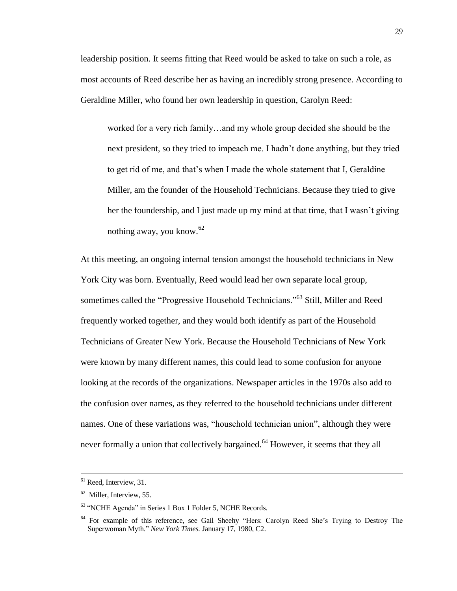leadership position. It seems fitting that Reed would be asked to take on such a role, as most accounts of Reed describe her as having an incredibly strong presence. According to Geraldine Miller, who found her own leadership in question, Carolyn Reed:

worked for a very rich family…and my whole group decided she should be the next president, so they tried to impeach me. I hadn't done anything, but they tried to get rid of me, and that's when I made the whole statement that I, Geraldine Miller, am the founder of the Household Technicians. Because they tried to give her the foundership, and I just made up my mind at that time, that I wasn't giving nothing away, you know.<sup>62</sup>

At this meeting, an ongoing internal tension amongst the household technicians in New York City was born. Eventually, Reed would lead her own separate local group, sometimes called the "Progressive Household Technicians."<sup>63</sup> Still, Miller and Reed frequently worked together, and they would both identify as part of the Household Technicians of Greater New York. Because the Household Technicians of New York were known by many different names, this could lead to some confusion for anyone looking at the records of the organizations. Newspaper articles in the 1970s also add to the confusion over names, as they referred to the household technicians under different names. One of these variations was, "household technician union", although they were never formally a union that collectively bargained.<sup>64</sup> However, it seems that they all

<sup>&</sup>lt;sup>61</sup> Reed, Interview, 31.

<sup>&</sup>lt;sup>62</sup> Miller, Interview, 55.

<sup>63</sup> "NCHE Agenda" in Series 1 Box 1 Folder 5, NCHE Records.

<sup>&</sup>lt;sup>64</sup> For example of this reference, see Gail Sheehy "Hers: Carolyn Reed She's Trying to Destroy The Superwoman Myth." *New York Times.* January 17, 1980, C2.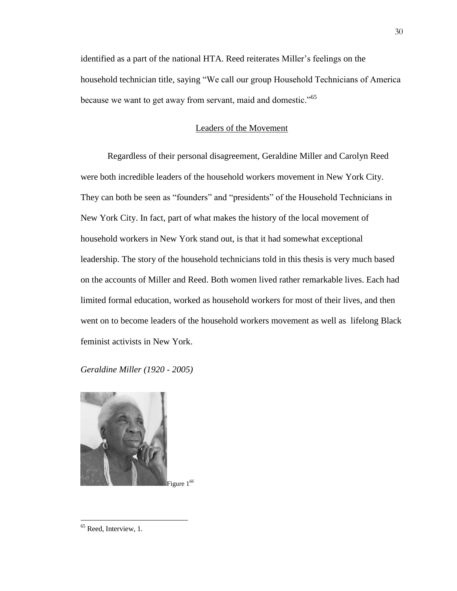identified as a part of the national HTA. Reed reiterates Miller's feelings on the household technician title, saying "We call our group Household Technicians of America because we want to get away from servant, maid and domestic."<sup>65</sup>

#### Leaders of the Movement

Regardless of their personal disagreement, Geraldine Miller and Carolyn Reed were both incredible leaders of the household workers movement in New York City. They can both be seen as "founders" and "presidents" of the Household Technicians in New York City. In fact, part of what makes the history of the local movement of household workers in New York stand out, is that it had somewhat exceptional leadership. The story of the household technicians told in this thesis is very much based on the accounts of Miller and Reed. Both women lived rather remarkable lives. Each had limited formal education, worked as household workers for most of their lives, and then went on to become leaders of the household workers movement as well as lifelong Black feminist activists in New York.

## *Geraldine Miller (1920 - 2005)*



<sup>&</sup>lt;sup>65</sup> Reed, Interview, 1.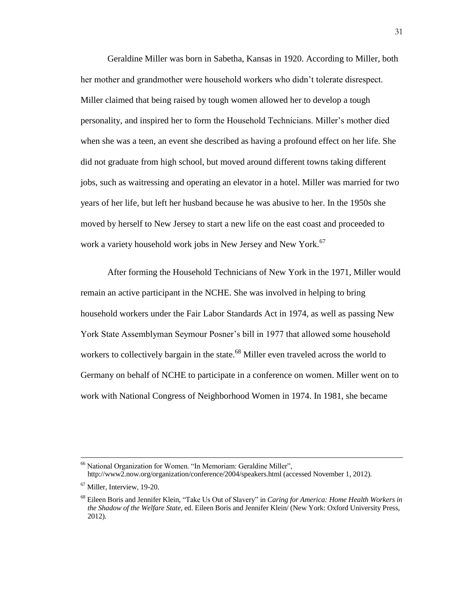Geraldine Miller was born in Sabetha, Kansas in 1920. According to Miller, both her mother and grandmother were household workers who didn't tolerate disrespect. Miller claimed that being raised by tough women allowed her to develop a tough personality, and inspired her to form the Household Technicians. Miller's mother died when she was a teen, an event she described as having a profound effect on her life. She did not graduate from high school, but moved around different towns taking different jobs, such as waitressing and operating an elevator in a hotel. Miller was married for two years of her life, but left her husband because he was abusive to her. In the 1950s she moved by herself to New Jersey to start a new life on the east coast and proceeded to work a variety household work jobs in New Jersey and New York.<sup>67</sup>

After forming the Household Technicians of New York in the 1971, Miller would remain an active participant in the NCHE. She was involved in helping to bring household workers under the Fair Labor Standards Act in 1974, as well as passing New York State Assemblyman Seymour Posner's bill in 1977 that allowed some household workers to collectively bargain in the state.<sup>68</sup> Miller even traveled across the world to Germany on behalf of NCHE to participate in a conference on women. Miller went on to work with National Congress of Neighborhood Women in 1974. In 1981, she became

<sup>&</sup>lt;sup>66</sup> National Organization for Women. "In Memoriam: Geraldine Miller", http://www2.now.org/organization/conference/2004/speakers.html (accessed November 1, 2012).

<sup>67</sup> Miller, Interview, 19-20.

<sup>68</sup> Eileen Boris and Jennifer Klein, "Take Us Out of Slavery" in *Caring for America: Home Health Workers in the Shadow of the Welfare State,* ed. Eileen Boris and Jennifer Klein/ (New York: Oxford University Press, 2012).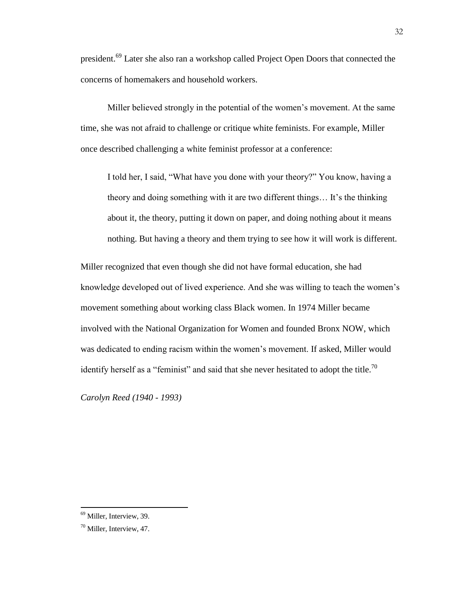president.<sup>69</sup> Later she also ran a workshop called Project Open Doors that connected the concerns of homemakers and household workers.

Miller believed strongly in the potential of the women's movement. At the same time, she was not afraid to challenge or critique white feminists. For example, Miller once described challenging a white feminist professor at a conference:

I told her, I said, "What have you done with your theory?" You know, having a theory and doing something with it are two different things… It's the thinking about it, the theory, putting it down on paper, and doing nothing about it means nothing. But having a theory and them trying to see how it will work is different.

Miller recognized that even though she did not have formal education, she had knowledge developed out of lived experience. And she was willing to teach the women's movement something about working class Black women. In 1974 Miller became involved with the National Organization for Women and founded Bronx NOW, which was dedicated to ending racism within the women's movement. If asked, Miller would identify herself as a "feminist" and said that she never hesitated to adopt the title.<sup>70</sup>

*Carolyn Reed (1940 - 1993)*

<sup>&</sup>lt;sup>69</sup> Miller, Interview, 39.

<sup>70</sup> Miller, Interview, 47.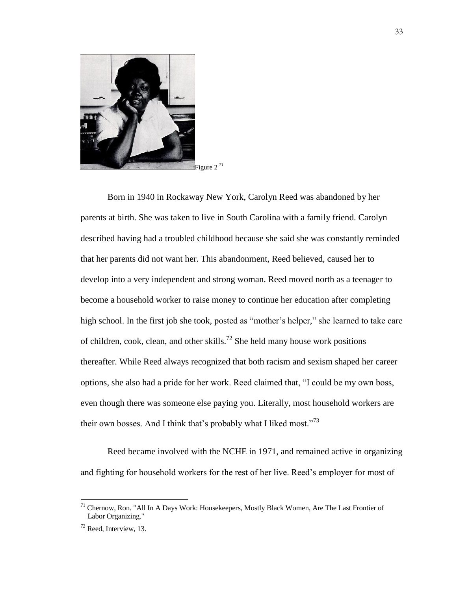

Born in 1940 in Rockaway New York, Carolyn Reed was abandoned by her parents at birth. She was taken to live in South Carolina with a family friend. Carolyn described having had a troubled childhood because she said she was constantly reminded that her parents did not want her. This abandonment, Reed believed, caused her to develop into a very independent and strong woman. Reed moved north as a teenager to become a household worker to raise money to continue her education after completing high school. In the first job she took, posted as "mother's helper," she learned to take care of children, cook, clean, and other skills.<sup>72</sup> She held many house work positions thereafter. While Reed always recognized that both racism and sexism shaped her career options, she also had a pride for her work. Reed claimed that, "I could be my own boss, even though there was someone else paying you. Literally, most household workers are their own bosses. And I think that's probably what I liked most."<sup>73</sup>

Reed became involved with the NCHE in 1971, and remained active in organizing and fighting for household workers for the rest of her live. Reed's employer for most of

 $<sup>71</sup>$  Chernow, Ron. "All In A Days Work: Housekeepers, Mostly Black Women, Are The Last Frontier of</sup> Labor Organizing."

 $72$  Reed, Interview, 13.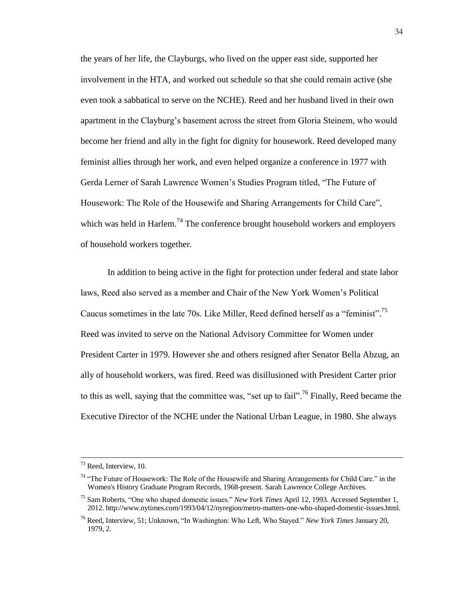the years of her life, the Clayburgs, who lived on the upper east side, supported her involvement in the HTA, and worked out schedule so that she could remain active (she even took a sabbatical to serve on the NCHE). Reed and her husband lived in their own apartment in the Clayburg's basement across the street from Gloria Steinem, who would become her friend and ally in the fight for dignity for housework. Reed developed many feminist allies through her work, and even helped organize a conference in 1977 with Gerda Lerner of Sarah Lawrence Women's Studies Program titled, "The Future of Housework: The Role of the Housewife and Sharing Arrangements for Child Care", which was held in Harlem.<sup>74</sup> The conference brought household workers and employers of household workers together.

In addition to being active in the fight for protection under federal and state labor laws, Reed also served as a member and Chair of the New York Women's Political Caucus sometimes in the late 70s. Like Miller, Reed defined herself as a "feminist".<sup>75</sup> Reed was invited to serve on the National Advisory Committee for Women under President Carter in 1979. However she and others resigned after Senator Bella Abzug, an ally of household workers, was fired. Reed was disillusioned with President Carter prior to this as well, saying that the committee was, "set up to fail".<sup>76</sup> Finally, Reed became the Executive Director of the NCHE under the National Urban League, in 1980. She always

 $73$  Reed, Interview, 10.

 $74$  "The Future of Housework: The Role of the Housewife and Sharing Arrangements for Child Care." in the Women's History Graduate Program Records, 1968-present. Sarah Lawrence College Archives.

<sup>75</sup> Sam Roberts, "One who shaped domestic issues." *New York Times* April 12, 1993. Accessed September 1, 2012. http://www.nytimes.com/1993/04/12/nyregion/metro-matters-one-who-shaped-domestic-issues.html.

<sup>76</sup> Reed, Interview, 51; Unknown, "In Washington: Who Left, Who Stayed." *New York Times* January 20, 1979, 2.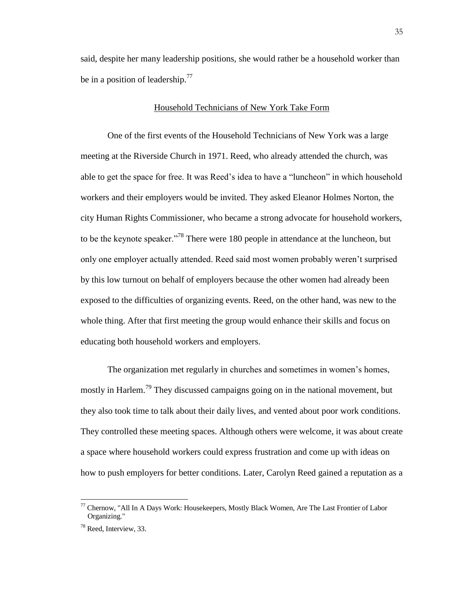said, despite her many leadership positions, she would rather be a household worker than be in a position of leadership.<sup>77</sup>

# Household Technicians of New York Take Form

One of the first events of the Household Technicians of New York was a large meeting at the Riverside Church in 1971. Reed, who already attended the church, was able to get the space for free. It was Reed's idea to have a "luncheon" in which household workers and their employers would be invited. They asked Eleanor Holmes Norton, the city Human Rights Commissioner, who became a strong advocate for household workers, to be the keynote speaker.<sup>778</sup> There were 180 people in attendance at the luncheon, but only one employer actually attended. Reed said most women probably weren't surprised by this low turnout on behalf of employers because the other women had already been exposed to the difficulties of organizing events. Reed, on the other hand, was new to the whole thing. After that first meeting the group would enhance their skills and focus on educating both household workers and employers.

The organization met regularly in churches and sometimes in women's homes, mostly in Harlem.<sup>79</sup> They discussed campaigns going on in the national movement, but they also took time to talk about their daily lives, and vented about poor work conditions. They controlled these meeting spaces. Although others were welcome, it was about create a space where household workers could express frustration and come up with ideas on how to push employers for better conditions. Later, Carolyn Reed gained a reputation as a

 $^{77}$  Chernow, "All In A Days Work: Housekeepers, Mostly Black Women, Are The Last Frontier of Labor Organizing."

<sup>&</sup>lt;sup>78</sup> Reed, Interview, 33.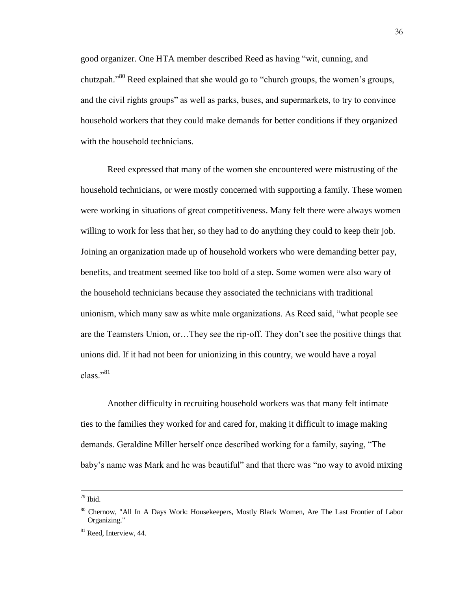good organizer. One HTA member described Reed as having "wit, cunning, and chutzpah."<sup>80</sup> Reed explained that she would go to "church groups, the women's groups, and the civil rights groups" as well as parks, buses, and supermarkets, to try to convince household workers that they could make demands for better conditions if they organized with the household technicians.

Reed expressed that many of the women she encountered were mistrusting of the household technicians, or were mostly concerned with supporting a family. These women were working in situations of great competitiveness. Many felt there were always women willing to work for less that her, so they had to do anything they could to keep their job. Joining an organization made up of household workers who were demanding better pay, benefits, and treatment seemed like too bold of a step. Some women were also wary of the household technicians because they associated the technicians with traditional unionism, which many saw as white male organizations. As Reed said, "what people see are the Teamsters Union, or…They see the rip-off. They don't see the positive things that unions did. If it had not been for unionizing in this country, we would have a royal class<sup>"81</sup>

Another difficulty in recruiting household workers was that many felt intimate ties to the families they worked for and cared for, making it difficult to image making demands. Geraldine Miller herself once described working for a family, saying, "The baby's name was Mark and he was beautiful" and that there was "no way to avoid mixing

<sup>79</sup> Ibid.

<sup>&</sup>lt;sup>80</sup> Chernow, "All In A Days Work: Housekeepers, Mostly Black Women, Are The Last Frontier of Labor Organizing."

<sup>&</sup>lt;sup>81</sup> Reed, Interview, 44.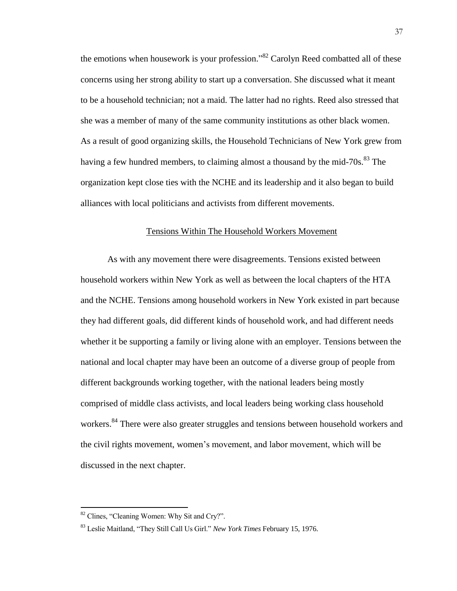the emotions when housework is your profession."<sup>82</sup> Carolyn Reed combatted all of these concerns using her strong ability to start up a conversation. She discussed what it meant to be a household technician; not a maid. The latter had no rights. Reed also stressed that she was a member of many of the same community institutions as other black women. As a result of good organizing skills, the Household Technicians of New York grew from having a few hundred members, to claiming almost a thousand by the mid-70s.<sup>83</sup> The organization kept close ties with the NCHE and its leadership and it also began to build alliances with local politicians and activists from different movements.

## Tensions Within The Household Workers Movement

As with any movement there were disagreements. Tensions existed between household workers within New York as well as between the local chapters of the HTA and the NCHE. Tensions among household workers in New York existed in part because they had different goals, did different kinds of household work, and had different needs whether it be supporting a family or living alone with an employer. Tensions between the national and local chapter may have been an outcome of a diverse group of people from different backgrounds working together, with the national leaders being mostly comprised of middle class activists, and local leaders being working class household workers.<sup>84</sup> There were also greater struggles and tensions between household workers and the civil rights movement, women's movement, and labor movement, which will be discussed in the next chapter.

<sup>&</sup>lt;sup>82</sup> Clines, "Cleaning Women: Why Sit and Cry?".

<sup>83</sup> Leslie Maitland, "They Still Call Us Girl." *New York Times* February 15, 1976.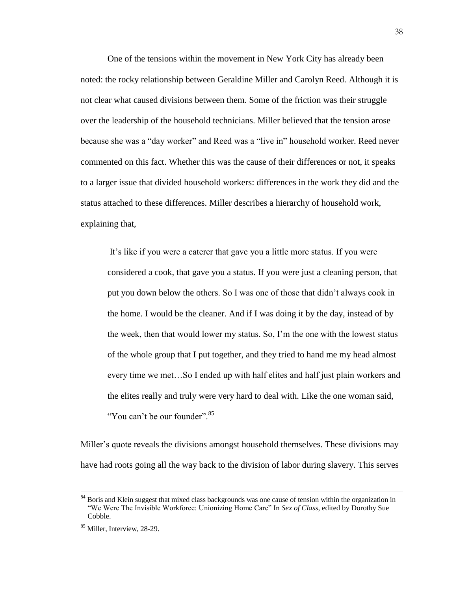One of the tensions within the movement in New York City has already been noted: the rocky relationship between Geraldine Miller and Carolyn Reed. Although it is not clear what caused divisions between them. Some of the friction was their struggle over the leadership of the household technicians. Miller believed that the tension arose because she was a "day worker" and Reed was a "live in" household worker. Reed never commented on this fact. Whether this was the cause of their differences or not, it speaks to a larger issue that divided household workers: differences in the work they did and the status attached to these differences. Miller describes a hierarchy of household work, explaining that,

It's like if you were a caterer that gave you a little more status. If you were considered a cook, that gave you a status. If you were just a cleaning person, that put you down below the others. So I was one of those that didn't always cook in the home. I would be the cleaner. And if I was doing it by the day, instead of by the week, then that would lower my status. So, I'm the one with the lowest status of the whole group that I put together, and they tried to hand me my head almost every time we met…So I ended up with half elites and half just plain workers and the elites really and truly were very hard to deal with. Like the one woman said, "You can't be our founder".<sup>85</sup>

Miller's quote reveals the divisions amongst household themselves. These divisions may have had roots going all the way back to the division of labor during slavery. This serves

<sup>&</sup>lt;sup>84</sup> Boris and Klein suggest that mixed class backgrounds was one cause of tension within the organization in "We Were The Invisible Workforce: Unionizing Home Care" In *Sex of Class*, edited by Dorothy Sue Cobble.

<sup>85</sup> Miller, Interview, 28-29.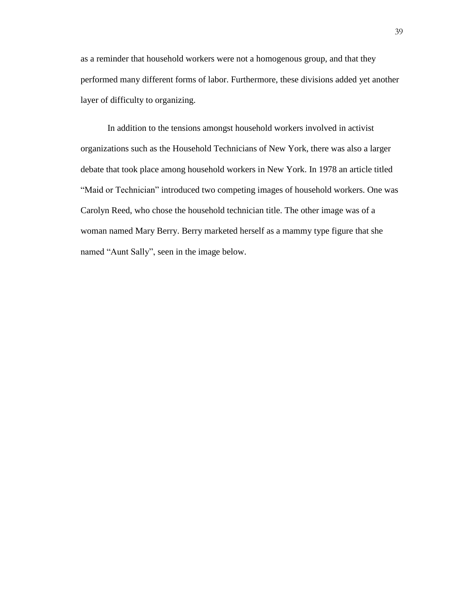as a reminder that household workers were not a homogenous group, and that they performed many different forms of labor. Furthermore, these divisions added yet another layer of difficulty to organizing.

In addition to the tensions amongst household workers involved in activist organizations such as the Household Technicians of New York, there was also a larger debate that took place among household workers in New York. In 1978 an article titled "Maid or Technician" introduced two competing images of household workers. One was Carolyn Reed, who chose the household technician title. The other image was of a woman named Mary Berry. Berry marketed herself as a mammy type figure that she named "Aunt Sally", seen in the image below.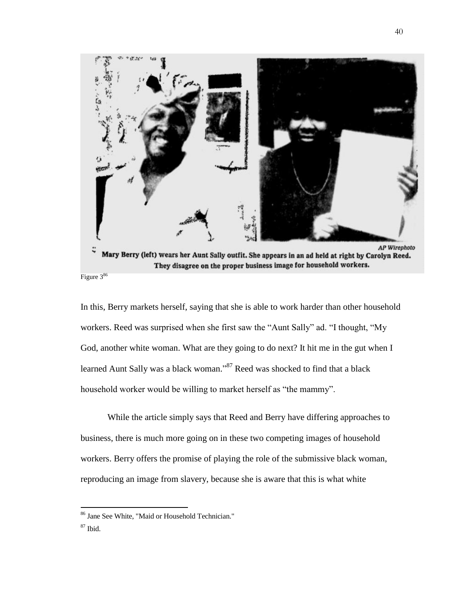

Figure 3<sup>86</sup>

In this, Berry markets herself, saying that she is able to work harder than other household workers. Reed was surprised when she first saw the "Aunt Sally" ad. "I thought, "My God, another white woman. What are they going to do next? It hit me in the gut when I learned Aunt Sally was a black woman."<sup>87</sup> Reed was shocked to find that a black household worker would be willing to market herself as "the mammy".

While the article simply says that Reed and Berry have differing approaches to business, there is much more going on in these two competing images of household workers. Berry offers the promise of playing the role of the submissive black woman, reproducing an image from slavery, because she is aware that this is what white

<sup>86</sup> Jane See White, "Maid or Household Technician."

 $87$  Ibid.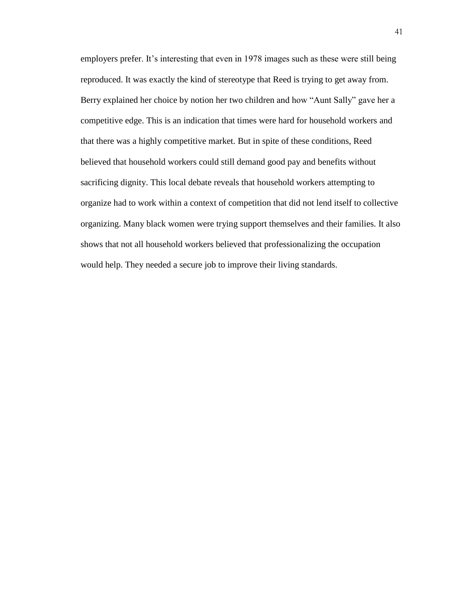employers prefer. It's interesting that even in 1978 images such as these were still being reproduced. It was exactly the kind of stereotype that Reed is trying to get away from. Berry explained her choice by notion her two children and how "Aunt Sally" gave her a competitive edge. This is an indication that times were hard for household workers and that there was a highly competitive market. But in spite of these conditions, Reed believed that household workers could still demand good pay and benefits without sacrificing dignity. This local debate reveals that household workers attempting to organize had to work within a context of competition that did not lend itself to collective organizing. Many black women were trying support themselves and their families. It also shows that not all household workers believed that professionalizing the occupation would help. They needed a secure job to improve their living standards.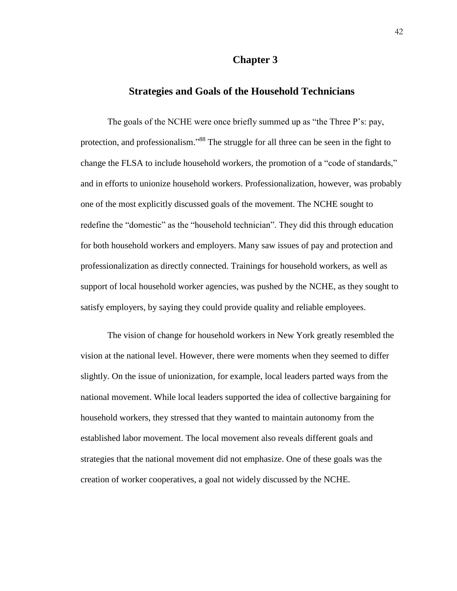# **Chapter 3**

# **Strategies and Goals of the Household Technicians**

The goals of the NCHE were once briefly summed up as "the Three P's: pay, protection, and professionalism."<sup>88</sup> The struggle for all three can be seen in the fight to change the FLSA to include household workers, the promotion of a "code of standards," and in efforts to unionize household workers. Professionalization, however, was probably one of the most explicitly discussed goals of the movement. The NCHE sought to redefine the "domestic" as the "household technician". They did this through education for both household workers and employers. Many saw issues of pay and protection and professionalization as directly connected. Trainings for household workers, as well as support of local household worker agencies, was pushed by the NCHE, as they sought to satisfy employers, by saying they could provide quality and reliable employees.

The vision of change for household workers in New York greatly resembled the vision at the national level. However, there were moments when they seemed to differ slightly. On the issue of unionization, for example, local leaders parted ways from the national movement. While local leaders supported the idea of collective bargaining for household workers, they stressed that they wanted to maintain autonomy from the established labor movement. The local movement also reveals different goals and strategies that the national movement did not emphasize. One of these goals was the creation of worker cooperatives, a goal not widely discussed by the NCHE.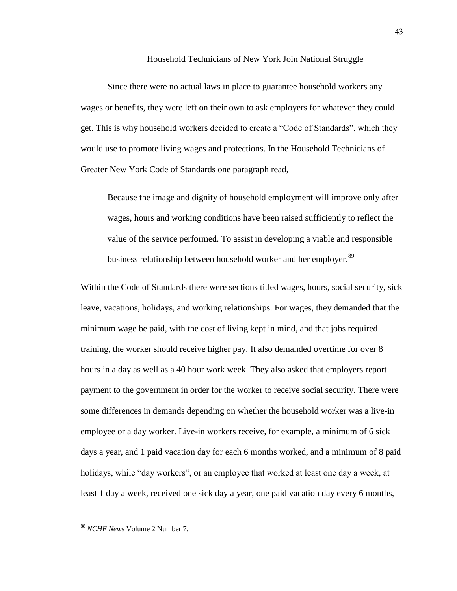#### Household Technicians of New York Join National Struggle

Since there were no actual laws in place to guarantee household workers any wages or benefits, they were left on their own to ask employers for whatever they could get. This is why household workers decided to create a "Code of Standards", which they would use to promote living wages and protections. In the Household Technicians of Greater New York Code of Standards one paragraph read,

Because the image and dignity of household employment will improve only after wages, hours and working conditions have been raised sufficiently to reflect the value of the service performed. To assist in developing a viable and responsible business relationship between household worker and her employer.<sup>89</sup>

Within the Code of Standards there were sections titled wages, hours, social security, sick leave, vacations, holidays, and working relationships. For wages, they demanded that the minimum wage be paid, with the cost of living kept in mind, and that jobs required training, the worker should receive higher pay. It also demanded overtime for over 8 hours in a day as well as a 40 hour work week. They also asked that employers report payment to the government in order for the worker to receive social security. There were some differences in demands depending on whether the household worker was a live-in employee or a day worker. Live-in workers receive, for example, a minimum of 6 sick days a year, and 1 paid vacation day for each 6 months worked, and a minimum of 8 paid holidays, while "day workers", or an employee that worked at least one day a week, at least 1 day a week, received one sick day a year, one paid vacation day every 6 months,

<sup>88</sup> *NCHE New*s Volume 2 Number 7.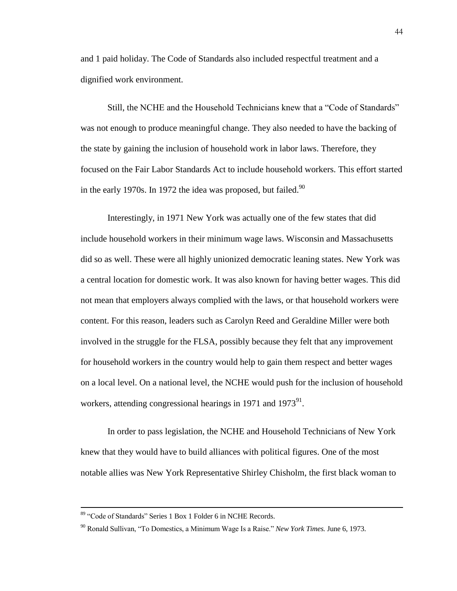and 1 paid holiday. The Code of Standards also included respectful treatment and a dignified work environment.

Still, the NCHE and the Household Technicians knew that a "Code of Standards" was not enough to produce meaningful change. They also needed to have the backing of the state by gaining the inclusion of household work in labor laws. Therefore, they focused on the Fair Labor Standards Act to include household workers. This effort started in the early 1970s. In 1972 the idea was proposed, but failed.<sup>90</sup>

Interestingly, in 1971 New York was actually one of the few states that did include household workers in their minimum wage laws. Wisconsin and Massachusetts did so as well. These were all highly unionized democratic leaning states. New York was a central location for domestic work. It was also known for having better wages. This did not mean that employers always complied with the laws, or that household workers were content. For this reason, leaders such as Carolyn Reed and Geraldine Miller were both involved in the struggle for the FLSA, possibly because they felt that any improvement for household workers in the country would help to gain them respect and better wages on a local level. On a national level, the NCHE would push for the inclusion of household workers, attending congressional hearings in 1971 and 1973 $^{91}$ .

In order to pass legislation, the NCHE and Household Technicians of New York knew that they would have to build alliances with political figures. One of the most notable allies was New York Representative Shirley Chisholm, the first black woman to

<sup>&</sup>lt;sup>89</sup> "Code of Standards" Series 1 Box 1 Folder 6 in NCHE Records.

<sup>&</sup>lt;sup>90</sup> Ronald Sullivan, "To Domestics, a Minimum Wage Is a Raise." *New York Times*. June 6, 1973.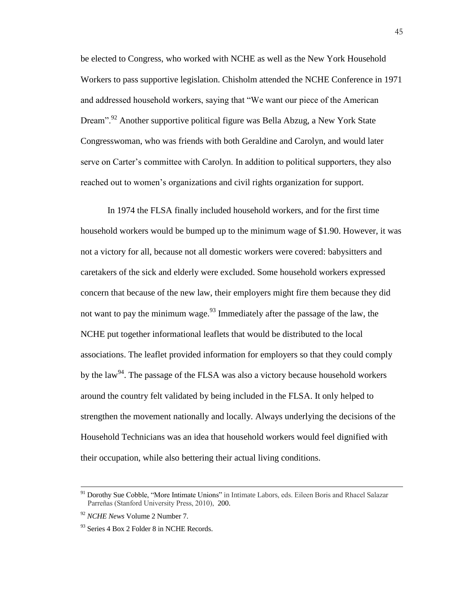be elected to Congress, who worked with NCHE as well as the New York Household Workers to pass supportive legislation. Chisholm attended the NCHE Conference in 1971 and addressed household workers, saying that "We want our piece of the American Dream".<sup>92</sup> Another supportive political figure was Bella Abzug, a New York State Congresswoman, who was friends with both Geraldine and Carolyn, and would later serve on Carter's committee with Carolyn. In addition to political supporters, they also reached out to women's organizations and civil rights organization for support.

In 1974 the FLSA finally included household workers, and for the first time household workers would be bumped up to the minimum wage of \$1.90. However, it was not a victory for all, because not all domestic workers were covered: babysitters and caretakers of the sick and elderly were excluded. Some household workers expressed concern that because of the new law, their employers might fire them because they did not want to pay the minimum wage.<sup>93</sup> Immediately after the passage of the law, the NCHE put together informational leaflets that would be distributed to the local associations. The leaflet provided information for employers so that they could comply by the law<sup>94</sup>. The passage of the FLSA was also a victory because household workers around the country felt validated by being included in the FLSA. It only helped to strengthen the movement nationally and locally. Always underlying the decisions of the Household Technicians was an idea that household workers would feel dignified with their occupation, while also bettering their actual living conditions.

<sup>&</sup>lt;sup>91</sup> Dorothy Sue Cobble, "More Intimate Unions" in Intimate Labors, eds. Eileen Boris and Rhacel Salazar Parreñas (Stanford University Press, 2010), 200.

<sup>92</sup> *NCHE News* Volume 2 Number 7.

 $93$  Series 4 Box 2 Folder 8 in NCHE Records.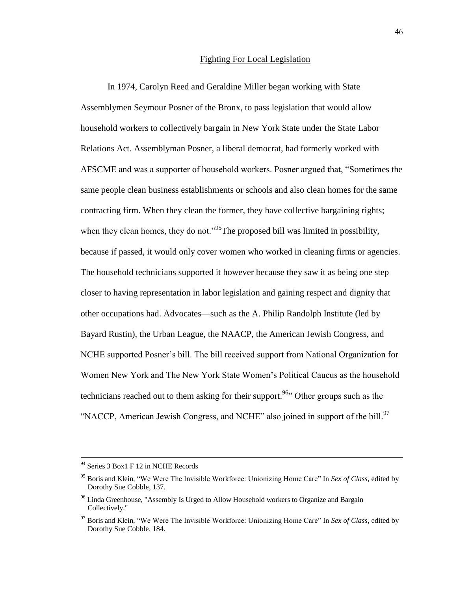## Fighting For Local Legislation

In 1974, Carolyn Reed and Geraldine Miller began working with State Assemblymen Seymour Posner of the Bronx, to pass legislation that would allow household workers to collectively bargain in New York State under the State Labor Relations Act. Assemblyman Posner, a liberal democrat, had formerly worked with AFSCME and was a supporter of household workers. Posner argued that, "Sometimes the same people clean business establishments or schools and also clean homes for the same contracting firm. When they clean the former, they have collective bargaining rights; when they clean homes, they do not."<sup>95</sup>The proposed bill was limited in possibility, because if passed, it would only cover women who worked in cleaning firms or agencies. The household technicians supported it however because they saw it as being one step closer to having representation in labor legislation and gaining respect and dignity that other occupations had. Advocates—such as the A. Philip Randolph Institute (led by Bayard Rustin), the Urban League, the NAACP, the American Jewish Congress, and NCHE supported Posner's bill. The bill received support from National Organization for Women New York and The New York State Women's Political Caucus as the household technicians reached out to them asking for their support.<sup>96</sup> Other groups such as the "NACCP, American Jewish Congress, and NCHE" also joined in support of the bill.<sup>97</sup>

<sup>&</sup>lt;sup>94</sup> Series 3 Box1 F 12 in NCHE Records

<sup>95</sup> Boris and Klein, "We Were The Invisible Workforce: Unionizing Home Care" In *Sex of Class*, edited by Dorothy Sue Cobble, 137.

<sup>&</sup>lt;sup>96</sup> Linda Greenhouse, "Assembly Is Urged to Allow Household workers to Organize and Bargain Collectively."

<sup>97</sup> Boris and Klein, "We Were The Invisible Workforce: Unionizing Home Care" In *Sex of Class*, edited by Dorothy Sue Cobble, 184.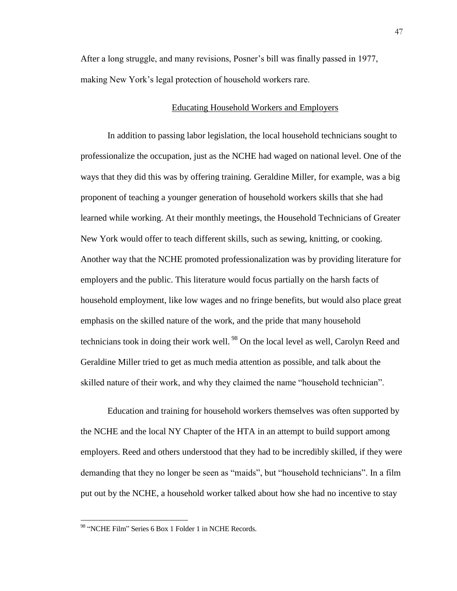After a long struggle, and many revisions, Posner's bill was finally passed in 1977, making New York's legal protection of household workers rare.

#### Educating Household Workers and Employers

In addition to passing labor legislation, the local household technicians sought to professionalize the occupation, just as the NCHE had waged on national level. One of the ways that they did this was by offering training. Geraldine Miller, for example, was a big proponent of teaching a younger generation of household workers skills that she had learned while working. At their monthly meetings, the Household Technicians of Greater New York would offer to teach different skills, such as sewing, knitting, or cooking. Another way that the NCHE promoted professionalization was by providing literature for employers and the public. This literature would focus partially on the harsh facts of household employment, like low wages and no fringe benefits, but would also place great emphasis on the skilled nature of the work, and the pride that many household technicians took in doing their work well.<sup>98</sup> On the local level as well, Carolyn Reed and Geraldine Miller tried to get as much media attention as possible, and talk about the skilled nature of their work, and why they claimed the name "household technician".

Education and training for household workers themselves was often supported by the NCHE and the local NY Chapter of the HTA in an attempt to build support among employers. Reed and others understood that they had to be incredibly skilled, if they were demanding that they no longer be seen as "maids", but "household technicians". In a film put out by the NCHE, a household worker talked about how she had no incentive to stay

<sup>98 &</sup>quot;NCHE Film" Series 6 Box 1 Folder 1 in NCHE Records.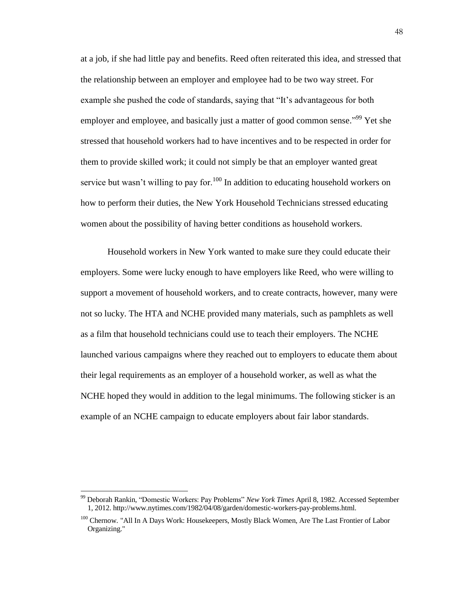at a job, if she had little pay and benefits. Reed often reiterated this idea, and stressed that the relationship between an employer and employee had to be two way street. For example she pushed the code of standards, saying that "It's advantageous for both employer and employee, and basically just a matter of good common sense."<sup>99</sup> Yet she stressed that household workers had to have incentives and to be respected in order for them to provide skilled work; it could not simply be that an employer wanted great service but wasn't willing to pay for.<sup>100</sup> In addition to educating household workers on how to perform their duties, the New York Household Technicians stressed educating women about the possibility of having better conditions as household workers.

Household workers in New York wanted to make sure they could educate their employers. Some were lucky enough to have employers like Reed, who were willing to support a movement of household workers, and to create contracts, however, many were not so lucky. The HTA and NCHE provided many materials, such as pamphlets as well as a film that household technicians could use to teach their employers. The NCHE launched various campaigns where they reached out to employers to educate them about their legal requirements as an employer of a household worker, as well as what the NCHE hoped they would in addition to the legal minimums. The following sticker is an example of an NCHE campaign to educate employers about fair labor standards.

<sup>99</sup> Deborah Rankin, "Domestic Workers: Pay Problems" *New York Times* April 8, 1982. Accessed September 1, 2012. http://www.nytimes.com/1982/04/08/garden/domestic-workers-pay-problems.html.

<sup>&</sup>lt;sup>100</sup> Chernow. "All In A Days Work: Housekeepers, Mostly Black Women, Are The Last Frontier of Labor Organizing."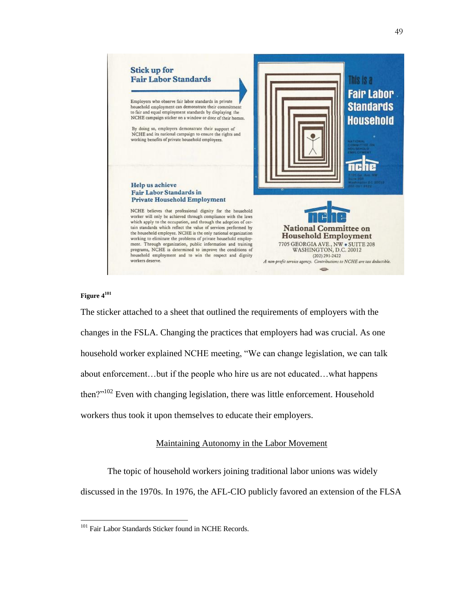



#### **Figure 4 101**

 $\overline{a}$ 

The sticker attached to a sheet that outlined the requirements of employers with the changes in the FSLA. Changing the practices that employers had was crucial. As one household worker explained NCHE meeting, "We can change legislation, we can talk about enforcement…but if the people who hire us are not educated…what happens then?"<sup>102</sup> Even with changing legislation, there was little enforcement. Household workers thus took it upon themselves to educate their employers.

## Maintaining Autonomy in the Labor Movement

The topic of household workers joining traditional labor unions was widely discussed in the 1970s. In 1976, the AFL-CIO publicly favored an extension of the FLSA

<sup>&</sup>lt;sup>101</sup> Fair Labor Standards Sticker found in NCHE Records.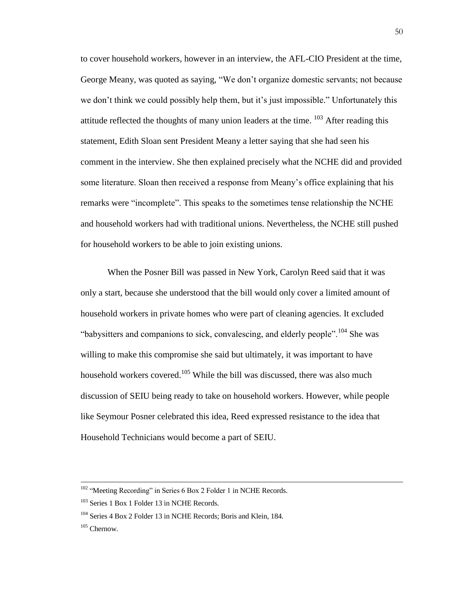to cover household workers, however in an interview, the AFL-CIO President at the time, George Meany, was quoted as saying, "We don't organize domestic servants; not because we don't think we could possibly help them, but it's just impossible." Unfortunately this attitude reflected the thoughts of many union leaders at the time.  $103$  After reading this statement, Edith Sloan sent President Meany a letter saying that she had seen his comment in the interview. She then explained precisely what the NCHE did and provided some literature. Sloan then received a response from Meany's office explaining that his remarks were "incomplete". This speaks to the sometimes tense relationship the NCHE and household workers had with traditional unions. Nevertheless, the NCHE still pushed for household workers to be able to join existing unions.

When the Posner Bill was passed in New York, Carolyn Reed said that it was only a start, because she understood that the bill would only cover a limited amount of household workers in private homes who were part of cleaning agencies. It excluded "babysitters and companions to sick, convalescing, and elderly people".<sup>104</sup> She was willing to make this compromise she said but ultimately, it was important to have household workers covered.<sup>105</sup> While the bill was discussed, there was also much discussion of SEIU being ready to take on household workers. However, while people like Seymour Posner celebrated this idea, Reed expressed resistance to the idea that Household Technicians would become a part of SEIU.

 $102$  "Meeting Recording" in Series 6 Box 2 Folder 1 in NCHE Records.

<sup>&</sup>lt;sup>103</sup> Series 1 Box 1 Folder 13 in NCHE Records.

<sup>&</sup>lt;sup>104</sup> Series 4 Box 2 Folder 13 in NCHE Records; Boris and Klein, 184.

<sup>105</sup> Chernow.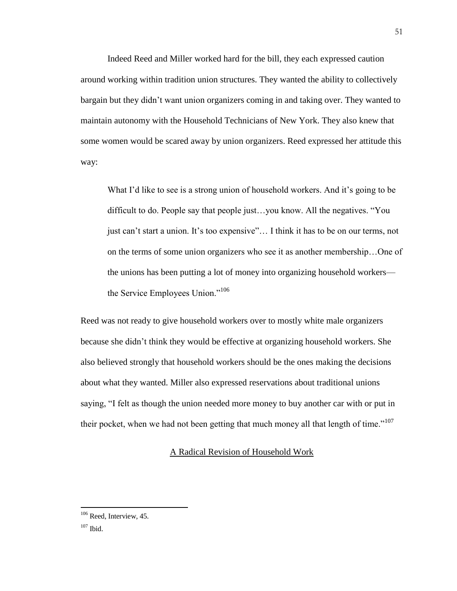Indeed Reed and Miller worked hard for the bill, they each expressed caution around working within tradition union structures. They wanted the ability to collectively bargain but they didn't want union organizers coming in and taking over. They wanted to maintain autonomy with the Household Technicians of New York. They also knew that some women would be scared away by union organizers. Reed expressed her attitude this way:

What I'd like to see is a strong union of household workers. And it's going to be difficult to do. People say that people just…you know. All the negatives. "You just can't start a union. It's too expensive"… I think it has to be on our terms, not on the terms of some union organizers who see it as another membership…One of the unions has been putting a lot of money into organizing household workers the Service Employees Union."<sup>106</sup>

Reed was not ready to give household workers over to mostly white male organizers because she didn't think they would be effective at organizing household workers. She also believed strongly that household workers should be the ones making the decisions about what they wanted. Miller also expressed reservations about traditional unions saying, "I felt as though the union needed more money to buy another car with or put in their pocket, when we had not been getting that much money all that length of time."<sup>107</sup>

# A Radical Revision of Household Work

<sup>&</sup>lt;sup>106</sup> Reed, Interview, 45.

 $107$  Ibid.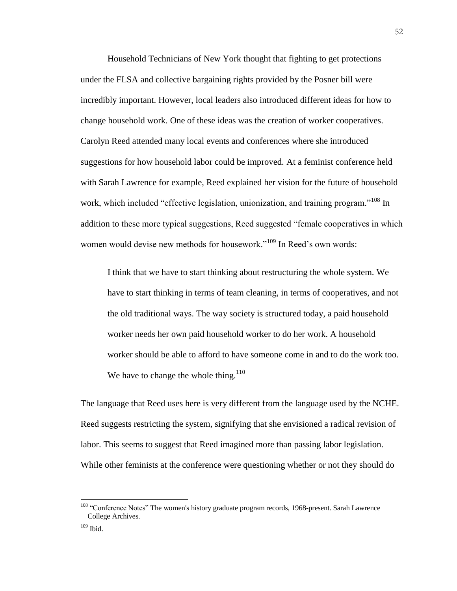Household Technicians of New York thought that fighting to get protections under the FLSA and collective bargaining rights provided by the Posner bill were incredibly important. However, local leaders also introduced different ideas for how to change household work. One of these ideas was the creation of worker cooperatives. Carolyn Reed attended many local events and conferences where she introduced suggestions for how household labor could be improved. At a feminist conference held with Sarah Lawrence for example, Reed explained her vision for the future of household work, which included "effective legislation, unionization, and training program."<sup>108</sup> In addition to these more typical suggestions, eed suggested "female cooperatives in which women would devise new methods for housework."<sup>109</sup> In Reed's own words:

I think that we have to start thinking about restructuring the whole system. We have to start thinking in terms of team cleaning, in terms of cooperatives, and not the old traditional ways. The way society is structured today, a paid household worker needs her own paid household worker to do her work. A household worker should be able to afford to have someone come in and to do the work too. We have to change the whole thing.<sup>110</sup>

The language that Reed uses here is very different from the language used by the NCHE. Reed suggests restricting the system, signifying that she envisioned a radical revision of labor. This seems to suggest that Reed imagined more than passing labor legislation. While other feminists at the conference were questioning whether or not they should do

<sup>&</sup>lt;sup>108</sup> "Conference Notes" The women's history graduate program records, 1968-present. Sarah Lawrence College Archives.

<sup>109</sup> Ibid.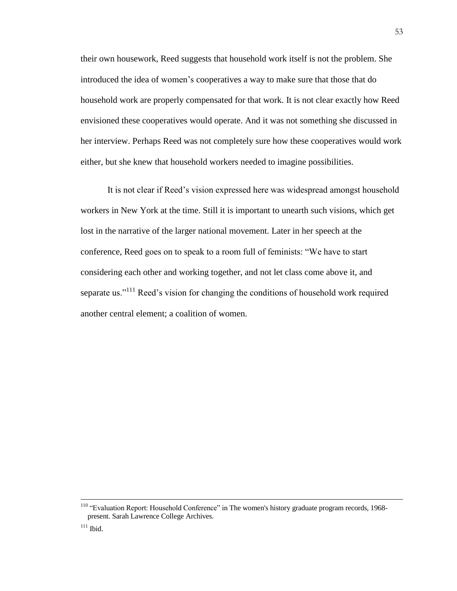their own housework, Reed suggests that household work itself is not the problem. She introduced the idea of women's cooperatives a way to make sure that those that do household work are properly compensated for that work. It is not clear exactly how Reed envisioned these cooperatives would operate. And it was not something she discussed in her interview. Perhaps Reed was not completely sure how these cooperatives would work either, but she knew that household workers needed to imagine possibilities.

It is not clear if Reed's vision expressed here was widespread amongst household workers in New York at the time. Still it is important to unearth such visions, which get lost in the narrative of the larger national movement. Later in her speech at the conference, Reed goes on to speak to a room full of feminists: "We have to start considering each other and working together, and not let class come above it, and separate us." $111$  Reed's vision for changing the conditions of household work required another central element; a coalition of women.

53

 $110$  "Evaluation Report: Household Conference" in The women's history graduate program records, 1968present. Sarah Lawrence College Archives.

 $111$  Ibid.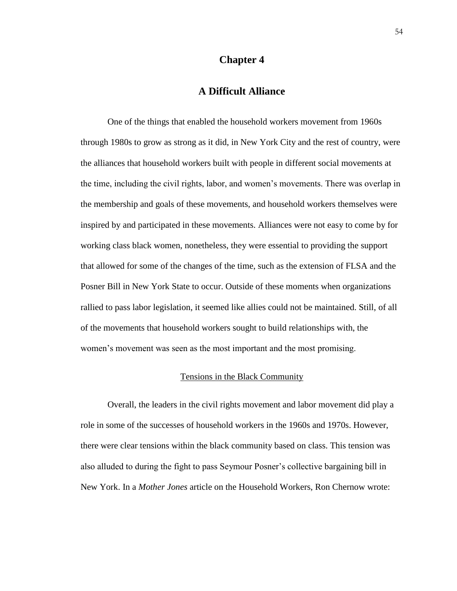# **Chapter 4**

# **A Difficult Alliance**

One of the things that enabled the household workers movement from 1960s through 1980s to grow as strong as it did, in New York City and the rest of country, were the alliances that household workers built with people in different social movements at the time, including the civil rights, labor, and women's movements. There was overlap in the membership and goals of these movements, and household workers themselves were inspired by and participated in these movements. Alliances were not easy to come by for working class black women, nonetheless, they were essential to providing the support that allowed for some of the changes of the time, such as the extension of FLSA and the Posner Bill in New York State to occur. Outside of these moments when organizations rallied to pass labor legislation, it seemed like allies could not be maintained. Still, of all of the movements that household workers sought to build relationships with, the women's movement was seen as the most important and the most promising.

#### Tensions in the Black Community

Overall, the leaders in the civil rights movement and labor movement did play a role in some of the successes of household workers in the 1960s and 1970s. However, there were clear tensions within the black community based on class. This tension was also alluded to during the fight to pass Seymour Posner's collective bargaining bill in New York. In a *Mother Jones* article on the Household Workers, Ron Chernow wrote: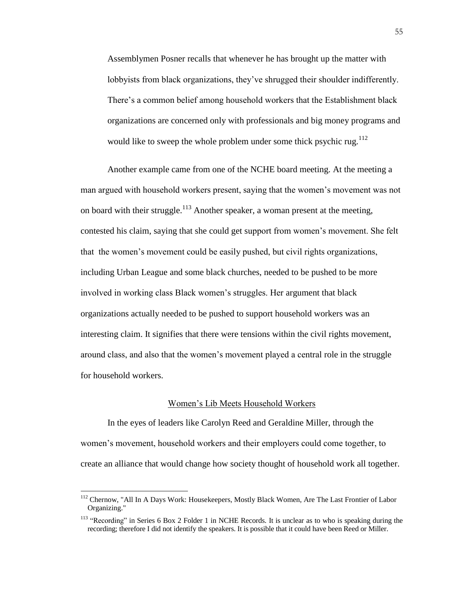Assemblymen Posner recalls that whenever he has brought up the matter with lobbyists from black organizations, they've shrugged their shoulder indifferently. There's a common belief among household workers that the Establishment black organizations are concerned only with professionals and big money programs and would like to sweep the whole problem under some thick psychic rug.<sup>112</sup>

Another example came from one of the NCHE board meeting. At the meeting a man argued with household workers present, saying that the women's movement was not on board with their struggle.<sup>113</sup> Another speaker, a woman present at the meeting, contested his claim, saying that she could get support from women's movement. She felt that the women's movement could be easily pushed, but civil rights organizations, including Urban League and some black churches, needed to be pushed to be more involved in working class Black women's struggles. Her argument that black organizations actually needed to be pushed to support household workers was an interesting claim. It signifies that there were tensions within the civil rights movement, around class, and also that the women's movement played a central role in the struggle for household workers.

#### Women's Lib Meets Household Workers

In the eyes of leaders like Carolyn Reed and Geraldine Miller, through the women's movement, household workers and their employers could come together, to create an alliance that would change how society thought of household work all together.

<sup>&</sup>lt;sup>112</sup> Chernow, "All In A Days Work: Housekeepers, Mostly Black Women, Are The Last Frontier of Labor Organizing."

<sup>&</sup>lt;sup>113</sup> "Recording" in Series 6 Box 2 Folder 1 in NCHE Records. It is unclear as to who is speaking during the recording; therefore I did not identify the speakers. It is possible that it could have been Reed or Miller.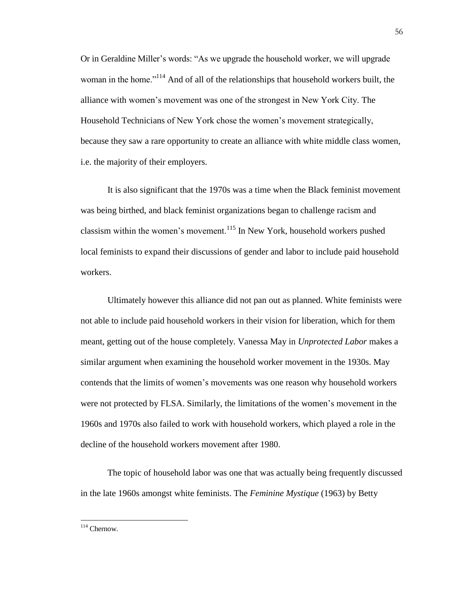Or in Geraldine Miller's words: "As we upgrade the household worker, we will upgrade woman in the home."<sup>114</sup> And of all of the relationships that household workers built, the alliance with women's movement was one of the strongest in New York City. The Household Technicians of New York chose the women's movement strategically, because they saw a rare opportunity to create an alliance with white middle class women, i.e. the majority of their employers.

It is also significant that the 1970s was a time when the Black feminist movement was being birthed, and black feminist organizations began to challenge racism and classism within the women's movement.<sup>115</sup> In New York, household workers pushed local feminists to expand their discussions of gender and labor to include paid household workers.

Ultimately however this alliance did not pan out as planned. White feminists were not able to include paid household workers in their vision for liberation, which for them meant, getting out of the house completely. Vanessa May in *Unprotected Labor* makes a similar argument when examining the household worker movement in the 1930s. May contends that the limits of women's movements was one reason why household workers were not protected by FLSA. Similarly, the limitations of the women's movement in the 1960s and 1970s also failed to work with household workers, which played a role in the decline of the household workers movement after 1980.

The topic of household labor was one that was actually being frequently discussed in the late 1960s amongst white feminists. The *Feminine Mystique* (1963) by Betty

 $\overline{a}$ <sup>114</sup> Chernow.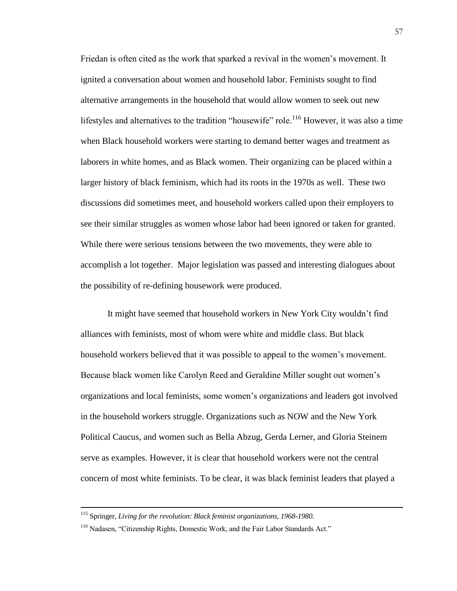Friedan is often cited as the work that sparked a revival in the women's movement. It ignited a conversation about women and household labor. Feminists sought to find alternative arrangements in the household that would allow women to seek out new lifestyles and alternatives to the tradition "housewife" role.<sup>116</sup> However, it was also a time when Black household workers were starting to demand better wages and treatment as laborers in white homes, and as Black women. Their organizing can be placed within a larger history of black feminism, which had its roots in the 1970s as well. These two discussions did sometimes meet, and household workers called upon their employers to see their similar struggles as women whose labor had been ignored or taken for granted. While there were serious tensions between the two movements, they were able to accomplish a lot together. Major legislation was passed and interesting dialogues about the possibility of re-defining housework were produced.

It might have seemed that household workers in New York City wouldn't find alliances with feminists, most of whom were white and middle class. But black household workers believed that it was possible to appeal to the women's movement. Because black women like Carolyn Reed and Geraldine Miller sought out women's organizations and local feminists, some women's organizations and leaders got involved in the household workers struggle. Organizations such as NOW and the New York Political Caucus, and women such as Bella Abzug, Gerda Lerner, and Gloria Steinem serve as examples. However, it is clear that household workers were not the central concern of most white feminists. To be clear, it was black feminist leaders that played a

<sup>115</sup> Springer, *Living for the revolution: Black feminist organizations, 1968-1980.*

<sup>&</sup>lt;sup>116</sup> Nadasen, "Citizenship Rights, Domestic Work, and the Fair Labor Standards Act."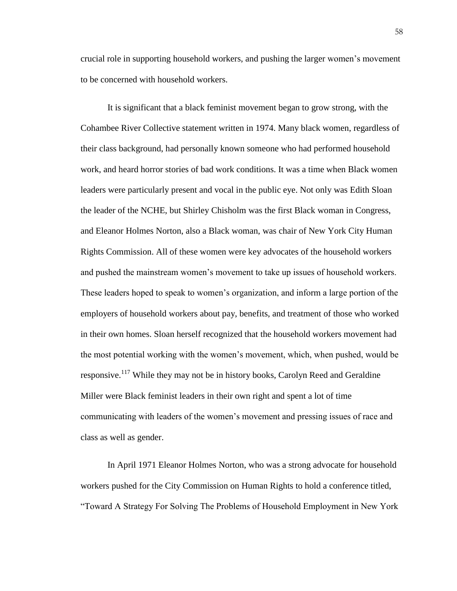crucial role in supporting household workers, and pushing the larger women's movement to be concerned with household workers.

It is significant that a black feminist movement began to grow strong, with the Cohambee River Collective statement written in 1974. Many black women, regardless of their class background, had personally known someone who had performed household work, and heard horror stories of bad work conditions. It was a time when Black women leaders were particularly present and vocal in the public eye. Not only was Edith Sloan the leader of the NCHE, but Shirley Chisholm was the first Black woman in Congress, and Eleanor Holmes Norton, also a Black woman, was chair of New York City Human Rights Commission. All of these women were key advocates of the household workers and pushed the mainstream women's movement to take up issues of household workers. These leaders hoped to speak to women's organization, and inform a large portion of the employers of household workers about pay, benefits, and treatment of those who worked in their own homes. Sloan herself recognized that the household workers movement had the most potential working with the women's movement, which, when pushed, would be responsive.<sup>117</sup> While they may not be in history books, Carolyn Reed and Geraldine Miller were Black feminist leaders in their own right and spent a lot of time communicating with leaders of the women's movement and pressing issues of race and class as well as gender.

In April 1971 Eleanor Holmes Norton, who was a strong advocate for household workers pushed for the City Commission on Human Rights to hold a conference titled, "Toward A Strategy For Solving The Problems of Household Employment in New York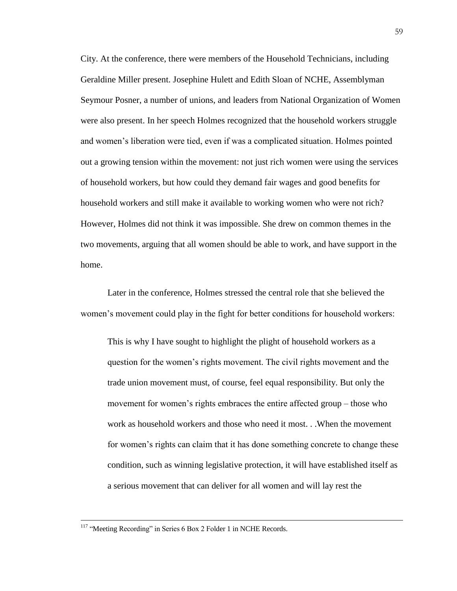City. At the conference, there were members of the Household Technicians, including Geraldine Miller present. Josephine Hulett and Edith Sloan of NCHE, Assemblyman Seymour Posner, a number of unions, and leaders from National Organization of Women were also present. In her speech Holmes recognized that the household workers struggle and women's liberation were tied, even if was a complicated situation. Holmes pointed out a growing tension within the movement: not just rich women were using the services of household workers, but how could they demand fair wages and good benefits for household workers and still make it available to working women who were not rich? However, Holmes did not think it was impossible. She drew on common themes in the two movements, arguing that all women should be able to work, and have support in the home.

Later in the conference, Holmes stressed the central role that she believed the women's movement could play in the fight for better conditions for household workers:

This is why I have sought to highlight the plight of household workers as a question for the women's rights movement. The civil rights movement and the trade union movement must, of course, feel equal responsibility. But only the movement for women's rights embraces the entire affected group – those who work as household workers and those who need it most. . .When the movement for women's rights can claim that it has done something concrete to change these condition, such as winning legislative protection, it will have established itself as a serious movement that can deliver for all women and will lay rest the

<sup>&</sup>lt;sup>117</sup> "Meeting Recording" in Series 6 Box 2 Folder 1 in NCHE Records.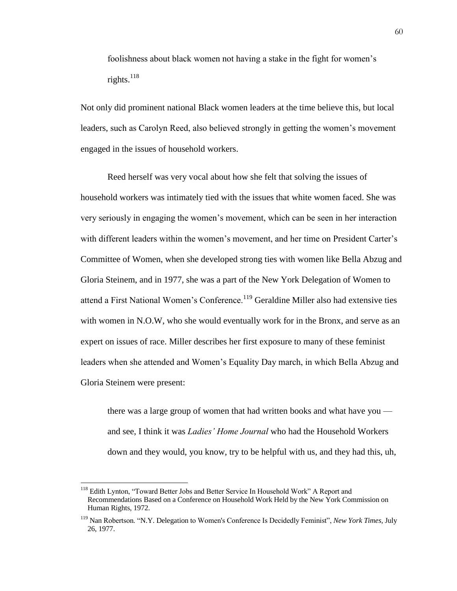foolishness about black women not having a stake in the fight for women's rights.<sup>118</sup>

Not only did prominent national Black women leaders at the time believe this, but local leaders, such as Carolyn Reed, also believed strongly in getting the women's movement engaged in the issues of household workers.

Reed herself was very vocal about how she felt that solving the issues of household workers was intimately tied with the issues that white women faced. She was very seriously in engaging the women's movement, which can be seen in her interaction with different leaders within the women's movement, and her time on President Carter's Committee of Women, when she developed strong ties with women like Bella Abzug and Gloria Steinem, and in 1977, she was a part of the New York Delegation of Women to attend a First National Women's Conference.<sup>119</sup> Geraldine Miller also had extensive ties with women in N.O.W, who she would eventually work for in the Bronx, and serve as an expert on issues of race. Miller describes her first exposure to many of these feminist leaders when she attended and Women's Equality Day march, in which Bella Abzug and Gloria Steinem were present:

there was a large group of women that had written books and what have you and see, I think it was *Ladies' Home Journal* who had the Household Workers down and they would, you know, try to be helpful with us, and they had this, uh,

<sup>&</sup>lt;sup>118</sup> Edith Lynton, "Toward Better Jobs and Better Service In Household Work" A Report and Recommendations Based on a Conference on Household Work Held by the New York Commission on Human Rights, 1972.

<sup>&</sup>lt;sup>119</sup> Nan Robertson. "N.Y. Delegation to Women's Conference Is Decidedly Feminist", *New York Times*, July 26, 1977.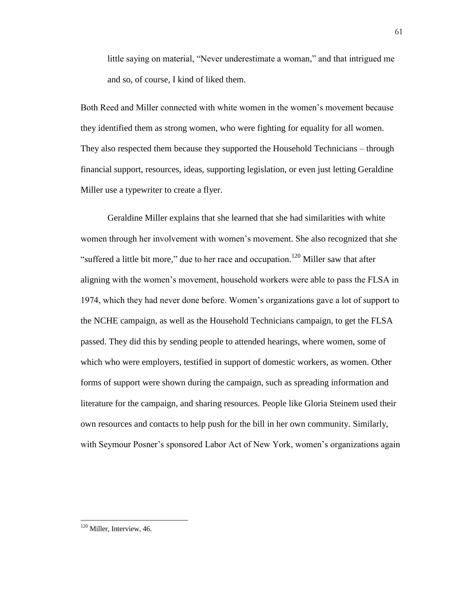little saying on material, "Never underestimate a woman," and that intrigued me and so, of course, I kind of liked them.

Both Reed and Miller connected with white women in the women's movement because they identified them as strong women, who were fighting for equality for all women. They also respected them because they supported the Household Technicians – through financial support, resources, ideas, supporting legislation, or even just letting Geraldine Miller use a typewriter to create a flyer.

Geraldine Miller explains that she learned that she had similarities with white women through her involvement with women's movement. She also recognized that she "suffered a little bit more," due to her race and occupation.<sup>120</sup> Miller saw that after aligning with the women's movement, household workers were able to pass the FLSA in 974, which they had never done before. Women's organizations gave a lot of support to the NCHE campaign, as well as the Household Technicians campaign, to get the FLSA passed. They did this by sending people to attended hearings, where women, some of which who were employers, testified in support of domestic workers, as women. Other forms of support were shown during the campaign, such as spreading information and literature for the campaign, and sharing resources. People like Gloria Steinem used their own resources and contacts to help push for the bill in her own community. Similarly, with Seymour Posner's sponsored Labor Act of New York, women's organizations again

<sup>&</sup>lt;sup>120</sup> Miller, Interview, 46.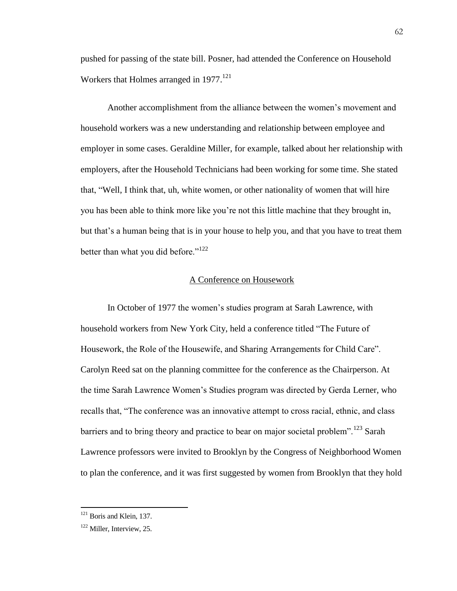pushed for passing of the state bill. Posner, had attended the Conference on Household Workers that Holmes arranged in 1977.<sup>121</sup>

Another accomplishment from the alliance between the women's movement and household workers was a new understanding and relationship between employee and employer in some cases. Geraldine Miller, for example, talked about her relationship with employers, after the Household Technicians had been working for some time. She stated that, "Well, I think that, uh, white women, or other nationality of women that will hire you has been able to think more like you're not this little machine that they brought in, but that's a human being that is in your house to help you, and that you have to treat them better than what you did before." $122$ 

#### A Conference on Housework

In October of 1977 the women's studies program at Sarah Lawrence, with household workers from New York City, held a conference titled "The Future of Housework, the Role of the Housewife, and Sharing Arrangements for Child Care". Carolyn Reed sat on the planning committee for the conference as the Chairperson. At the time Sarah Lawrence Women's Studies program was directed by Gerda Lerner, who recalls that, "The conference was an innovative attempt to cross racial, ethnic, and class barriers and to bring theory and practice to bear on major societal problem".<sup>123</sup> Sarah Lawrence professors were invited to Brooklyn by the Congress of Neighborhood Women to plan the conference, and it was first suggested by women from Brooklyn that they hold

<sup>&</sup>lt;sup>121</sup> Boris and Klein, 137.

<sup>&</sup>lt;sup>122</sup> Miller, Interview, 25.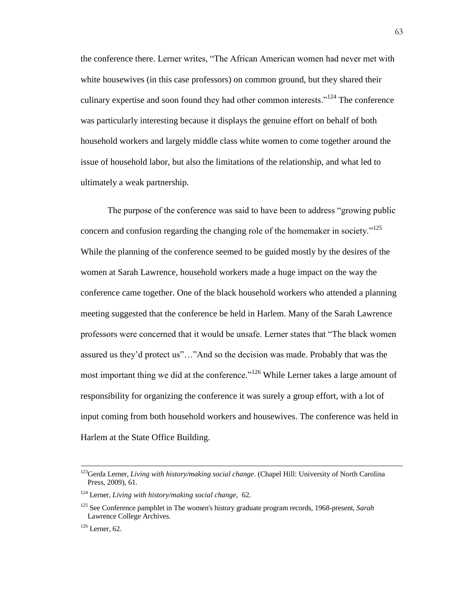the conference there. Lerner writes, "The African American women had never met with white housewives (in this case professors) on common ground, but they shared their culinary expertise and soon found they had other common interests."<sup>124</sup> The conference was particularly interesting because it displays the genuine effort on behalf of both household workers and largely middle class white women to come together around the issue of household labor, but also the limitations of the relationship, and what led to ultimately a weak partnership.

The purpose of the conference was said to have been to address "growing public concern and confusion regarding the changing role of the homemaker in society."<sup>125</sup> While the planning of the conference seemed to be guided mostly by the desires of the women at Sarah Lawrence, household workers made a huge impact on the way the conference came together. One of the black household workers who attended a planning meeting suggested that the conference be held in Harlem. Many of the Sarah Lawrence professors were concerned that it would be unsafe. Lerner states that "The black women assured us they'd protect us"…"And so the decision was made. Probably that was the most important thing we did at the conference."<sup>126</sup> While Lerner takes a large amount of responsibility for organizing the conference it was surely a group effort, with a lot of input coming from both household workers and housewives. The conference was held in Harlem at the State Office Building.

<sup>123</sup>Gerda Lerner, *Living with history/making social change*. (Chapel Hill: University of North Carolina Press, 2009), 61.

<sup>124</sup> Lerner, *Living with history/making social change,* 62.

<sup>125</sup> See Conference pamphlet in The women's history graduate program records, 1968-present, *Sarah* Lawrence College Archives.

 $126$  Lerner, 62.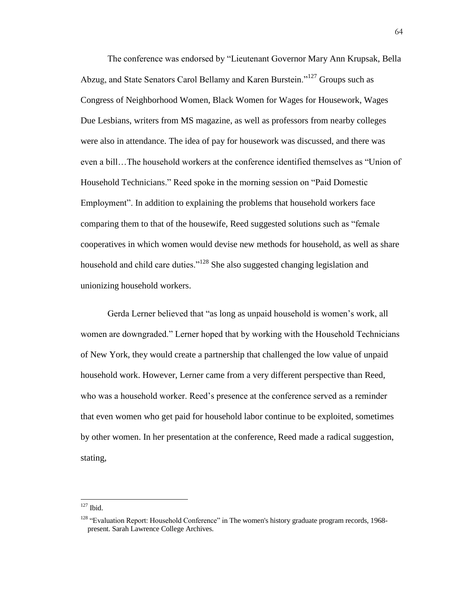The conference was endorsed by "Lieutenant Governor Mary Ann Krupsak, Bella Abzug, and State Senators Carol Bellamy and Karen Burstein."<sup>127</sup> Groups such as Congress of Neighborhood Women, Black Women for Wages for Housework, Wages Due Lesbians, writers from MS magazine, as well as professors from nearby colleges were also in attendance. The idea of pay for housework was discussed, and there was even a bill…The household workers at the conference identified themselves as "Union of Household Technicians." Reed spoke in the morning session on "Paid Domestic Employment". In addition to explaining the problems that household workers face comparing them to that of the housewife, Reed suggested solutions such as "female cooperatives in which women would devise new methods for household, as well as share household and child care duties."<sup>128</sup> She also suggested changing legislation and unionizing household workers.

Gerda Lerner believed that "as long as unpaid household is women's work, all women are downgraded." Lerner hoped that by working with the Household Technicians of New York, they would create a partnership that challenged the low value of unpaid household work. However, Lerner came from a very different perspective than Reed, who was a household worker. Reed's presence at the conference served as a reminder that even women who get paid for household labor continue to be exploited, sometimes by other women. In her presentation at the conference, Reed made a radical suggestion, stating,

 $\overline{a}$  $127$  Ibid.

<sup>&</sup>lt;sup>128</sup> "Evaluation Report: Household Conference" in The women's history graduate program records, 1968present. Sarah Lawrence College Archives.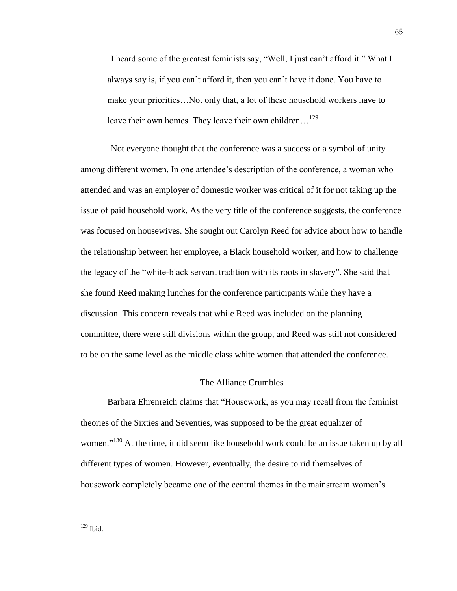I heard some of the greatest feminists say, "Well, I just can't afford it." What I always say is, if you can't afford it, then you can't have it done. You have to make your priorities…Not only that, a lot of these household workers have to leave their own homes. They leave their own children...<sup>129</sup>

Not everyone thought that the conference was a success or a symbol of unity among different women. In one attendee's description of the conference, a woman who attended and was an employer of domestic worker was critical of it for not taking up the issue of paid household work. As the very title of the conference suggests, the conference was focused on housewives. She sought out Carolyn Reed for advice about how to handle the relationship between her employee, a Black household worker, and how to challenge the legacy of the "white-black servant tradition with its roots in slavery". She said that she found Reed making lunches for the conference participants while they have a discussion. This concern reveals that while Reed was included on the planning committee, there were still divisions within the group, and Reed was still not considered to be on the same level as the middle class white women that attended the conference.

# The Alliance Crumbles

Barbara Ehrenreich claims that "Housework, as you may recall from the feminist theories of the Sixties and Seventies, was supposed to be the great equalizer of women."<sup>130</sup> At the time, it did seem like household work could be an issue taken up by all different types of women. However, eventually, the desire to rid themselves of housework completely became one of the central themes in the mainstream women's

 $\overline{a}$  $129$  Ibid.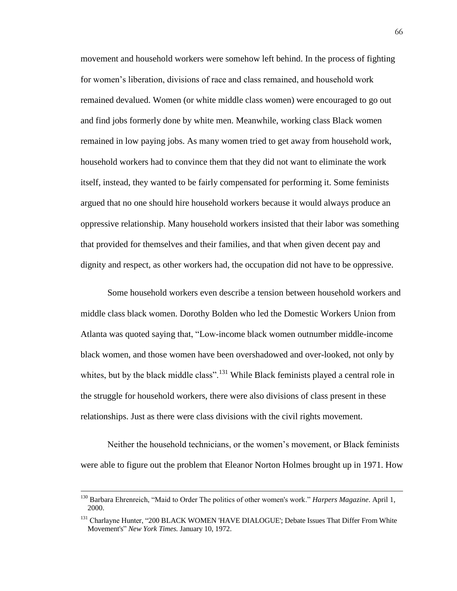movement and household workers were somehow left behind. In the process of fighting for women's liberation, divisions of race and class remained, and household work remained devalued. Women (or white middle class women) were encouraged to go out and find jobs formerly done by white men. Meanwhile, working class Black women remained in low paying jobs. As many women tried to get away from household work, household workers had to convince them that they did not want to eliminate the work itself, instead, they wanted to be fairly compensated for performing it. Some feminists argued that no one should hire household workers because it would always produce an oppressive relationship. Many household workers insisted that their labor was something that provided for themselves and their families, and that when given decent pay and dignity and respect, as other workers had, the occupation did not have to be oppressive.

Some household workers even describe a tension between household workers and middle class black women. Dorothy Bolden who led the Domestic Workers Union from Atlanta was quoted saying that, "Low-income black women outnumber middle-income black women, and those women have been overshadowed and over-looked, not only by whites, but by the black middle class".<sup>131</sup> While Black feminists played a central role in the struggle for household workers, there were also divisions of class present in these relationships. Just as there were class divisions with the civil rights movement.

Neither the household technicians, or the women's movement, or Black feminists were able to figure out the problem that Eleanor Norton Holmes brought up in 1971. How

<sup>130</sup> Barbara Ehrenreich, "Maid to Order The politics of other women's work." *Harpers Magazine*. April 1, 2000.

<sup>&</sup>lt;sup>131</sup> Charlayne Hunter, "200 BLACK WOMEN 'HAVE DIALOGUE'; Debate Issues That Differ From White Movement's" *New York Times.* January 10, 1972.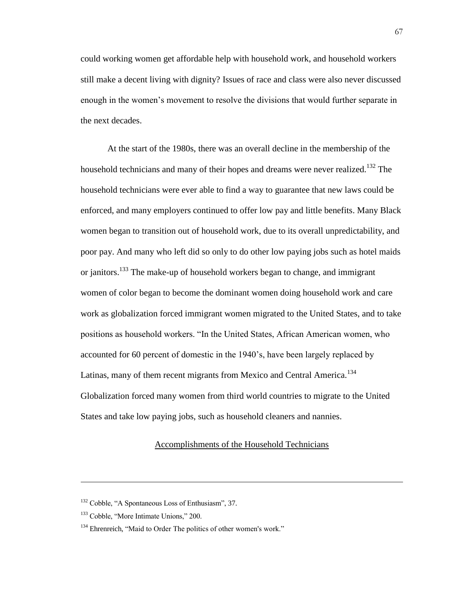could working women get affordable help with household work, and household workers still make a decent living with dignity? Issues of race and class were also never discussed enough in the women's movement to resolve the divisions that would further separate in the next decades.

At the start of the 1980s, there was an overall decline in the membership of the household technicians and many of their hopes and dreams were never realized.<sup>132</sup> The household technicians were ever able to find a way to guarantee that new laws could be enforced, and many employers continued to offer low pay and little benefits. Many Black women began to transition out of household work, due to its overall unpredictability, and poor pay. And many who left did so only to do other low paying jobs such as hotel maids or janitors.<sup>133</sup> The make-up of household workers began to change, and immigrant women of color began to become the dominant women doing household work and care work as globalization forced immigrant women migrated to the United States, and to take positions as household workers. "In the United States, African American women, who accounted for 60 percent of domestic in the 1940's, have been largely replaced by Latinas, many of them recent migrants from Mexico and Central America.<sup>134</sup> Globalization forced many women from third world countries to migrate to the United States and take low paying jobs, such as household cleaners and nannies.

# Accomplishments of the Household Technicians

<sup>&</sup>lt;sup>132</sup> Cobble, "A Spontaneous Loss of Enthusiasm", 37.

 $133$  Cobble, "More Intimate Unions," 200.

<sup>&</sup>lt;sup>134</sup> Ehrenreich, "Maid to Order The politics of other women's work."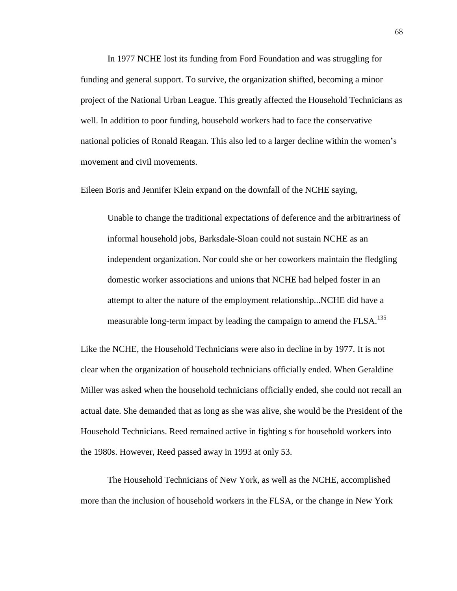In 1977 NCHE lost its funding from Ford Foundation and was struggling for funding and general support. To survive, the organization shifted, becoming a minor project of the National Urban League. This greatly affected the Household Technicians as well. In addition to poor funding, household workers had to face the conservative national policies of Ronald Reagan. This also led to a larger decline within the women's movement and civil movements.

Eileen Boris and Jennifer Klein expand on the downfall of the NCHE saying,

Unable to change the traditional expectations of deference and the arbitrariness of informal household jobs, Barksdale-Sloan could not sustain NCHE as an independent organization. Nor could she or her coworkers maintain the fledgling domestic worker associations and unions that NCHE had helped foster in an attempt to alter the nature of the employment relationship...NCHE did have a measurable long-term impact by leading the campaign to amend the FLSA.<sup>135</sup>

Like the NCHE, the Household Technicians were also in decline in by 1977. It is not clear when the organization of household technicians officially ended. When Geraldine Miller was asked when the household technicians officially ended, she could not recall an actual date. She demanded that as long as she was alive, she would be the President of the Household Technicians. Reed remained active in fighting s for household workers into the 1980s. However, Reed passed away in 1993 at only 53.

The Household Technicians of New York, as well as the NCHE, accomplished more than the inclusion of household workers in the FLSA, or the change in New York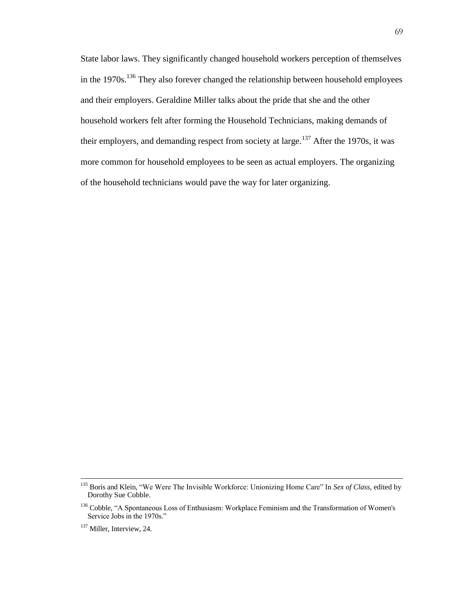State labor laws. They significantly changed household workers perception of themselves in the  $1970s$ <sup>136</sup> They also forever changed the relationship between household employees and their employers. Geraldine Miller talks about the pride that she and the other household workers felt after forming the Household Technicians, making demands of their employers, and demanding respect from society at large.<sup>137</sup> After the 1970s, it was more common for household employees to be seen as actual employers. The organizing of the household technicians would pave the way for later organizing.

<sup>135</sup> Boris and Klein, "We Were The Invisible Workforce: Unionizing Home Care" In *Sex of Class*, edited by Dorothy Sue Cobble.

<sup>&</sup>lt;sup>136</sup> Cobble, "A Spontaneous Loss of Enthusiasm: Workplace Feminism and the Transformation of Women's Service Jobs in the 1970s."

<sup>&</sup>lt;sup>137</sup> Miller, Interview, 24.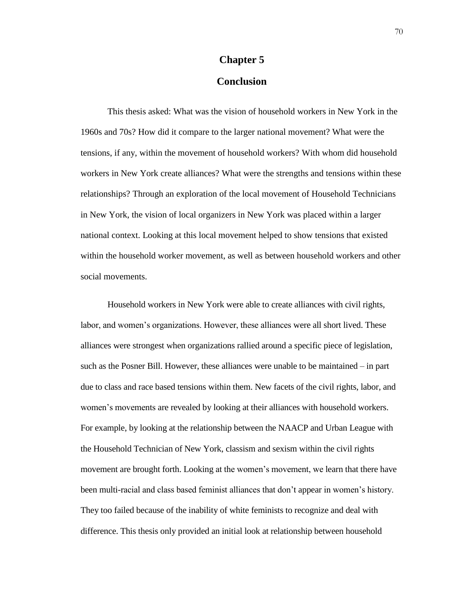# **Chapter 5 Conclusion**

This thesis asked: What was the vision of household workers in New York in the 1960s and 70s? How did it compare to the larger national movement? What were the tensions, if any, within the movement of household workers? With whom did household workers in New York create alliances? What were the strengths and tensions within these relationships? Through an exploration of the local movement of Household Technicians in New York, the vision of local organizers in New York was placed within a larger national context. Looking at this local movement helped to show tensions that existed within the household worker movement, as well as between household workers and other social movements.

Household workers in New York were able to create alliances with civil rights, labor, and women's organizations. However, these alliances were all short lived. These alliances were strongest when organizations rallied around a specific piece of legislation, such as the Posner Bill. However, these alliances were unable to be maintained – in part due to class and race based tensions within them. New facets of the civil rights, labor, and women's movements are revealed by looking at their alliances with household workers. For example, by looking at the relationship between the NAACP and Urban League with the Household Technician of New York, classism and sexism within the civil rights movement are brought forth. Looking at the women's movement, we learn that there have been multi-racial and class based feminist alliances that don't appear in women's history. They too failed because of the inability of white feminists to recognize and deal with difference. This thesis only provided an initial look at relationship between household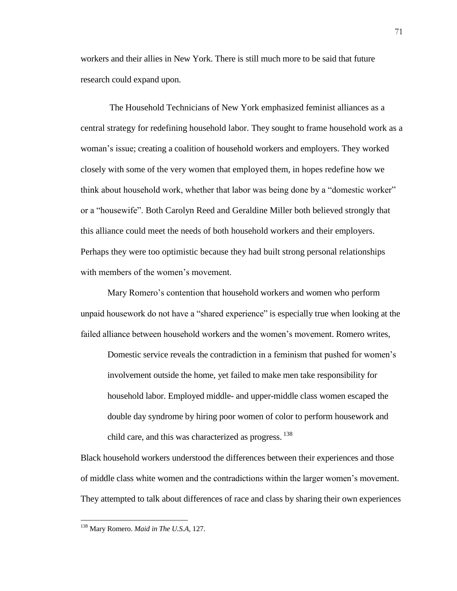workers and their allies in New York. There is still much more to be said that future research could expand upon.

The Household Technicians of New York emphasized feminist alliances as a central strategy for redefining household labor. They sought to frame household work as a woman's issue; creating a coalition of household workers and employers. They worked closely with some of the very women that employed them, in hopes redefine how we think about household work, whether that labor was being done by a "domestic worker" or a "housewife". Both Carolyn Reed and Geraldine Miller both believed strongly that this alliance could meet the needs of both household workers and their employers. Perhaps they were too optimistic because they had built strong personal relationships with members of the women's movement.

Mary Romero's contention that household workers and women who perform unpaid housework do not have a "shared experience" is especially true when looking at the failed alliance between household workers and the women's movement. Romero writes,

Domestic service reveals the contradiction in a feminism that pushed for women's involvement outside the home, yet failed to make men take responsibility for household labor. Employed middle- and upper-middle class women escaped the double day syndrome by hiring poor women of color to perform housework and child care, and this was characterized as progress. 138

Black household workers understood the differences between their experiences and those of middle class white women and the contradictions within the larger women's movement. They attempted to talk about differences of race and class by sharing their own experiences

<sup>138</sup> Mary Romero. *Maid in The U.S.A,* 127.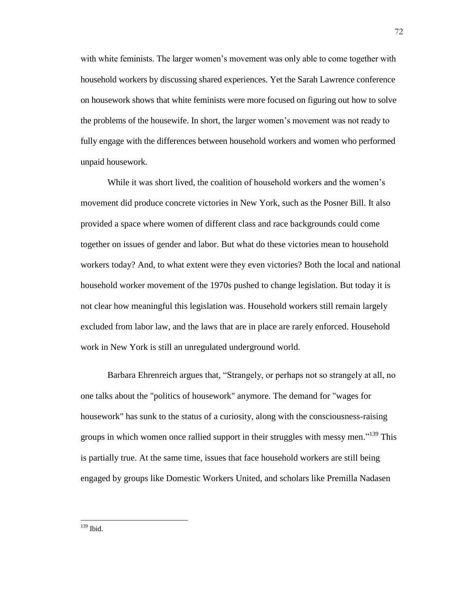with white feminists. The larger women's movement was only able to come together with household workers by discussing shared experiences. Yet the Sarah Lawrence conference on housework shows that white feminists were more focused on figuring out how to solve the problems of the housewife. In short, the larger women's movement was not ready to fully engage with the differences between household workers and women who performed unpaid housework.

While it was short lived, the coalition of household workers and the women's movement did produce concrete victories in New York, such as the Posner Bill. It also provided a space where women of different class and race backgrounds could come together on issues of gender and labor. But what do these victories mean to household workers today? And, to what extent were they even victories? Both the local and national household worker movement of the 1970s pushed to change legislation. But today it is not clear how meaningful this legislation was. Household workers still remain largely excluded from labor law, and the laws that are in place are rarely enforced. Household work in New York is still an unregulated underground world.

Barbara Ehrenreich argues that, "Strangely, or perhaps not so strangely at all, no one talks about the "politics of housework" anymore. The demand for "wages for housework" has sunk to the status of a curiosity, along with the consciousness-raising groups in which women once rallied support in their struggles with messy men."<sup>139</sup> This is partially true. At the same time, issues that face household workers are still being engaged by groups like Domestic Workers United, and scholars like Premilla Nadasen

 $\overline{a}$ <sup>139</sup> Ibid.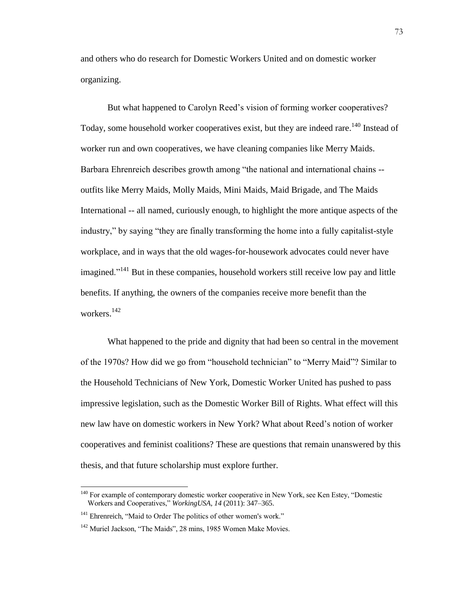and others who do research for Domestic Workers United and on domestic worker organizing.

But what happened to Carolyn Reed's vision of forming worker cooperatives? Today, some household worker cooperatives exist, but they are indeed rare.<sup>140</sup> Instead of worker run and own cooperatives, we have cleaning companies like Merry Maids. Barbara Ehrenreich describes growth among "the national and international chains - outfits like Merry Maids, Molly Maids, Mini Maids, Maid Brigade, and The Maids International -- all named, curiously enough, to highlight the more antique aspects of the industry," by saying "they are finally transforming the home into a fully capitalist-style workplace, and in ways that the old wages-for-housework advocates could never have imagined."<sup>141</sup> But in these companies, household workers still receive low pay and little benefits. If anything, the owners of the companies receive more benefit than the workers.<sup>142</sup>

What happened to the pride and dignity that had been so central in the movement of the 1970s? How did we go from "household technician" to "Merry Maid"? Similar to the Household Technicians of New York, Domestic Worker United has pushed to pass impressive legislation, such as the Domestic Worker Bill of Rights. What effect will this new law have on domestic workers in New York? What about Reed's notion of worker cooperatives and feminist coalitions? These are questions that remain unanswered by this thesis, and that future scholarship must explore further.

<sup>&</sup>lt;sup>140</sup> For example of contemporary domestic worker cooperative in New York, see Ken Estey, "Domestic Workers and Cooperatives," *WorkingUSA, 14* (2011): 347–365.

<sup>&</sup>lt;sup>141</sup> Ehrenreich, "Maid to Order The politics of other women's work."

<sup>&</sup>lt;sup>142</sup> Muriel Jackson, "The Maids", 28 mins, 1985 Women Make Movies.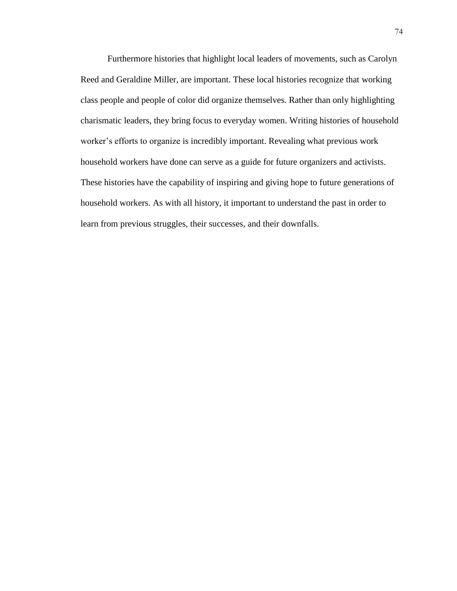Furthermore histories that highlight local leaders of movements, such as Carolyn Reed and Geraldine Miller, are important. These local histories recognize that working class people and people of color did organize themselves. Rather than only highlighting charismatic leaders, they bring focus to everyday women. Writing histories of household worker's efforts to organize is incredibly important. Revealing what previous work household workers have done can serve as a guide for future organizers and activists. These histories have the capability of inspiring and giving hope to future generations of household workers. As with all history, it important to understand the past in order to learn from previous struggles, their successes, and their downfalls.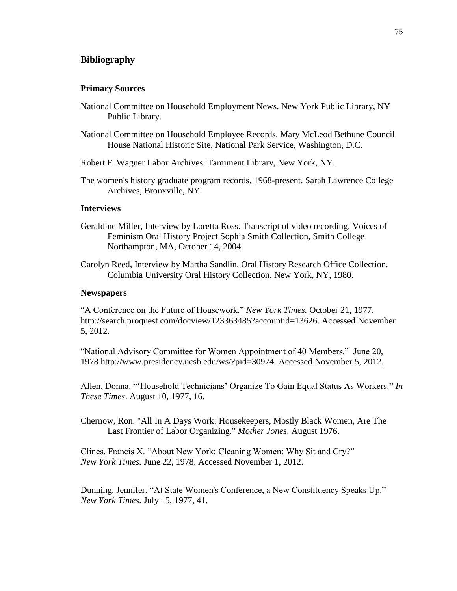# **Bibliography**

#### **Primary Sources**

- National Committee on Household Employment News. New York Public Library, NY Public Library.
- National Committee on Household Employee Records. Mary McLeod Bethune Council House National Historic Site, National Park Service, Washington, D.C.
- Robert F. Wagner Labor Archives. Tamiment Library, New York, NY.
- The women's history graduate program records, 1968-present. Sarah Lawrence College Archives, Bronxville, NY.

# **Interviews**

- Geraldine Miller, Interview by Loretta Ross. Transcript of video recording. Voices of Feminism Oral History Project Sophia Smith Collection, Smith College Northampton, MA, October 14, 2004.
- Carolyn Reed, Interview by Martha Sandlin. Oral History Research Office Collection. Columbia University Oral History Collection. New York, NY, 1980.

## **Newspapers**

"A Conference on the Future of Housework." *New York Times.* October 21, 1977. http://search.proquest.com/docview/123363485?accountid=13626. Accessed November 5, 2012.

"National Advisory Committee for Women Appointment of 40 Members." June 20, 1978 [http://www.presidency.ucsb.edu/ws/?pid=30974.](http://www.presidency.ucsb.edu/ws/?pid=30974) Accessed November 5, 2012.

Allen, Donna. "'Household Technicians' Organize To Gain Equal Status As Workers." *In These Times*. August 10, 1977, 16.

Chernow, Ron. "All In A Days Work: Housekeepers, Mostly Black Women, Are The Last Frontier of Labor Organizing." *Mother Jones*. August 1976.

Clines, Francis X. "About New York: Cleaning Women: Why Sit and Cry?" *New York Times.* June 22, 1978. Accessed November 1, 2012.

Dunning, Jennifer. "At State Women's Conference, a New Constituency Speaks Up." *New York Times.* July 15, 1977, 41.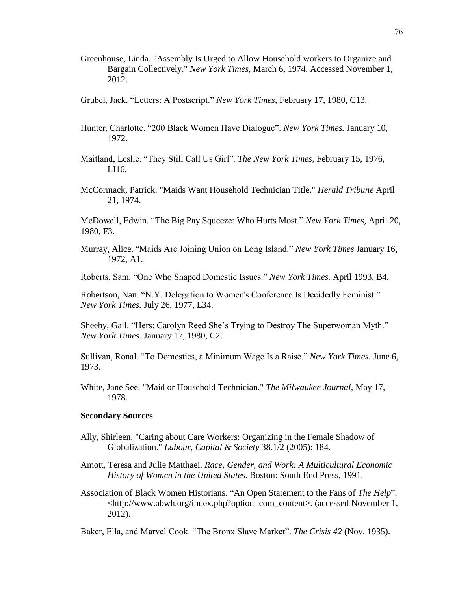- Greenhouse, Linda. "Assembly Is Urged to Allow Household workers to Organize and Bargain Collectively." *New York Times,* March 6, 1974. Accessed November 1, 2012.
- Grubel, Jack. "Letters: A Postscript." *New York Times,* February 17, 1980, C13.
- Hunter, Charlotte. "200 Black Women Have Dialogue". *New York Times.* January 10, 1972.
- Maitland, Leslie. "They Still Call Us Girl". *The New York Times,* February 15, 1976, LI16.
- McCormack, Patrick. "Maids Want Household Technician Title." *Herald Tribune* April 21, 1974.

McDowell, Edwin. "The Big Pay Squeeze: Who Hurts Most." *New York Times,* April 20, 1980, F3.

Murray, Alice. "Maids Are Joining Union on Long Island." *New York Times* January 16, 1972, A1.

oberts, Sam. "One Who Shaped Domestic Issues." *New York Times.* April 1993, B4.

Robertson, Nan. "N.Y. Delegation to Women's Conference Is Decidedly Feminist." *New York Times.* July 26, 1977, L34.

Sheehy, Gail. "Hers: Carolyn Reed She's Trying to Destroy The Superwoman Myth." *New York Times.* January 17, 1980, C2.

Sullivan, Ronal. "To Domestics, a Minimum Wage Is a Raise." *New York Times*. June 6, 1973.

White, Jane See. "Maid or Household Technician." *The Milwaukee Journal,* May 17, 1978.

# **Secondary Sources**

- Ally, Shirleen. "Caring about Care Workers: Organizing in the Female Shadow of Globalization." *Labour, Capital & Society* 38.1/2 (2005): 184.
- Amott, Teresa and Julie Matthaei. *Race, Gender, and Work: A Multicultural Economic History of Women in the United States*. Boston: South End Press, 1991.
- Association of Black Women Historians. "An Open Statement to the Fans of *The Help*". <http://www.abwh.org/index.php?option=com\_content>. (accessed November 1, 2012).

Baker, Ella, and Marvel Cook. "The Bronx Slave Market". *The Crisis 42* (Nov. 1935).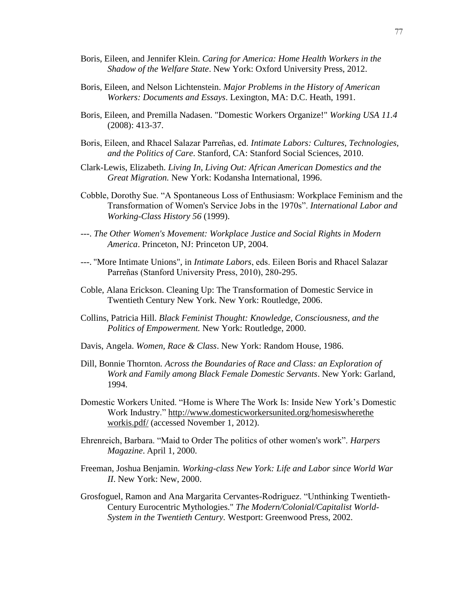- Boris, Eileen, and Jennifer Klein. *Caring for America: Home Health Workers in the Shadow of the Welfare State*. New York: Oxford University Press, 2012.
- Boris, Eileen, and Nelson Lichtenstein. *Major Problems in the History of American Workers: Documents and Essays*. Lexington, MA: D.C. Heath, 1991.
- Boris, Eileen, and Premilla Nadasen. "Domestic Workers Organize!" *Working USA 11.4* (2008): 413-37.
- Boris, Eileen, and Rhacel Salazar Parreñas, ed. *Intimate Labors: Cultures, Technologies, and the Politics of Care*. Stanford, CA: Stanford Social Sciences, 2010.
- Clark-Lewis, Elizabeth. *Living In, Living Out: African American Domestics and the Great Migration.* New York: Kodansha International, 1996.
- Cobble, Dorothy Sue. "A Spontaneous Loss of Enthusiasm: Workplace Feminism and the Transformation of Women's Service Jobs in the 1970s". *International Labor and Working-Class History 56* (1999).
- ---. *The Other Women's Movement: Workplace Justice and Social Rights in Modern America*. Princeton, NJ: Princeton UP, 2004.
- ---. "More Intimate Unions", in *Intimate Labors*, eds. Eileen Boris and hacel Salazar Parreñas (Stanford University Press, 2010), 280-295.
- Coble, Alana Erickson. Cleaning Up: The Transformation of Domestic Service in Twentieth Century New York. New York: Routledge, 2006.
- Collins, Patricia Hill. *Black Feminist Thought: Knowledge, Consciousness, and the Politics of Empowerment.* New York: Routledge, 2000.
- Davis, Angela. *Women, Race & Class*. New York: Random House, 1986.
- Dill, Bonnie Thornton*. Across the Boundaries of Race and Class: an Exploration of Work and Family among Black Female Domestic Servants*. New York: Garland, 1994.
- Domestic Workers United. "Home is Where The Work Is: Inside New York's Domestic Work Industry." [http://www.domesticworkersunited.org/homesiswherethe](http://www.domesticworkersunited.org/homesiswherethe%20workis.pdf/)  [workis.pdf/](http://www.domesticworkersunited.org/homesiswherethe%20workis.pdf/) (accessed November 1, 2012).
- Ehrenreich, Barbara. "Maid to Order The politics of other women's work". *Harpers Magazine*. April 1, 2000.
- Freeman, Joshua Benjamin*. Working-class New York: Life and Labor since World War II*. New York: New, 2000.
- Grosfoguel, Ramon and Ana Margarita Cervantes-Rodriguez. "Unthinking Twentieth-Century Eurocentric Mythologies." *The Modern/Colonial/Capitalist World-System in the Twentieth Century.* Westport: Greenwood Press, 2002.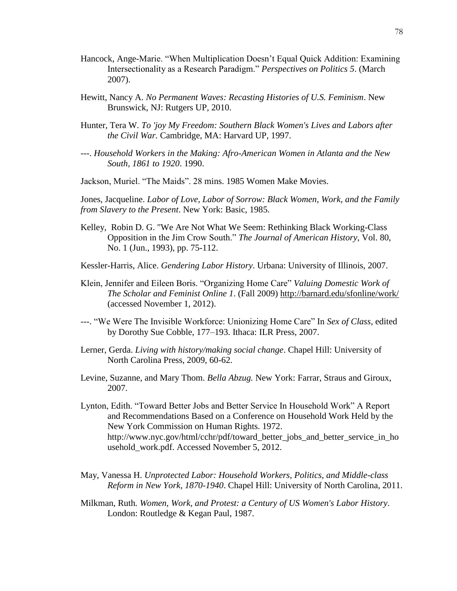- Hancock, Ange-Marie. "When Multiplication Doesn't Equal Quick Addition: Examining Intersectionality as a Research Paradigm." *Perspectives on Politics 5*. (March 2007).
- Hewitt, Nancy A. *No Permanent Waves: Recasting Histories of U.S. Feminism*. New Brunswick, NJ: Rutgers UP, 2010.
- Hunter, Tera W*. To 'joy My Freedom: Southern Black Women's Lives and Labors after the Civil War.* Cambridge, MA: Harvard UP, 1997.
- ---. *Household Workers in the Making: Afro-American Women in Atlanta and the New South, 1861 to 1920*. 1990.
- Jackson, Muriel. "The Maids". 28 mins. 1985 Women Make Movies.

Jones, Jacqueline. *Labor of Love, Labor of Sorrow: Black Women, Work, and the Family from Slavery to the Present*. New York: Basic, 1985.

- Kelley, Robin D. G. "We Are Not What We Seem: Rethinking Black Working-Class Opposition in the Jim Crow South." *The Journal of American History*, Vol. 80, No. 1 (Jun., 1993), pp. 75-112.
- Kessler-Harris, Alice. *Gendering Labor History*. Urbana: University of Illinois, 2007.
- Klein, Jennifer and Eileen Boris. "Organizing Home Care" *Valuing Domestic Work of The Scholar and Feminist Online 1*. (Fall 2009) http://barnard.edu/sfonline/work/ (accessed November 1, 2012).
- ---. "We Were The Invisible Workforce: Unionizing Home Care" In *Sex of Class*, edited by Dorothy Sue Cobble, 177–193. Ithaca: ILR Press, 2007.
- Lerner, Gerda. *Living with history/making social change*. Chapel Hill: University of North Carolina Press, 2009, 60-62.
- Levine, Suzanne, and Mary Thom. *Bella Abzug.* New York: Farrar, Straus and Giroux, 2007.
- Lynton, Edith. "Toward Better Jobs and Better Service In Household Work" A Report and Recommendations Based on a Conference on Household Work Held by the New York Commission on Human Rights. 1972. http://www.nyc.gov/html/cchr/pdf/toward\_better\_jobs\_and\_better\_service\_in\_ho usehold\_work.pdf. Accessed November 5, 2012.
- May, Vanessa H. *Unprotected Labor: Household Workers, Politics, and Middle-class Reform in New York, 1870-1940*. Chapel Hill: University of North Carolina, 2011.
- Milkman, Ruth*. Women, Work, and Protest: a Century of US Women's Labor History*. London: Routledge & Kegan Paul, 1987.